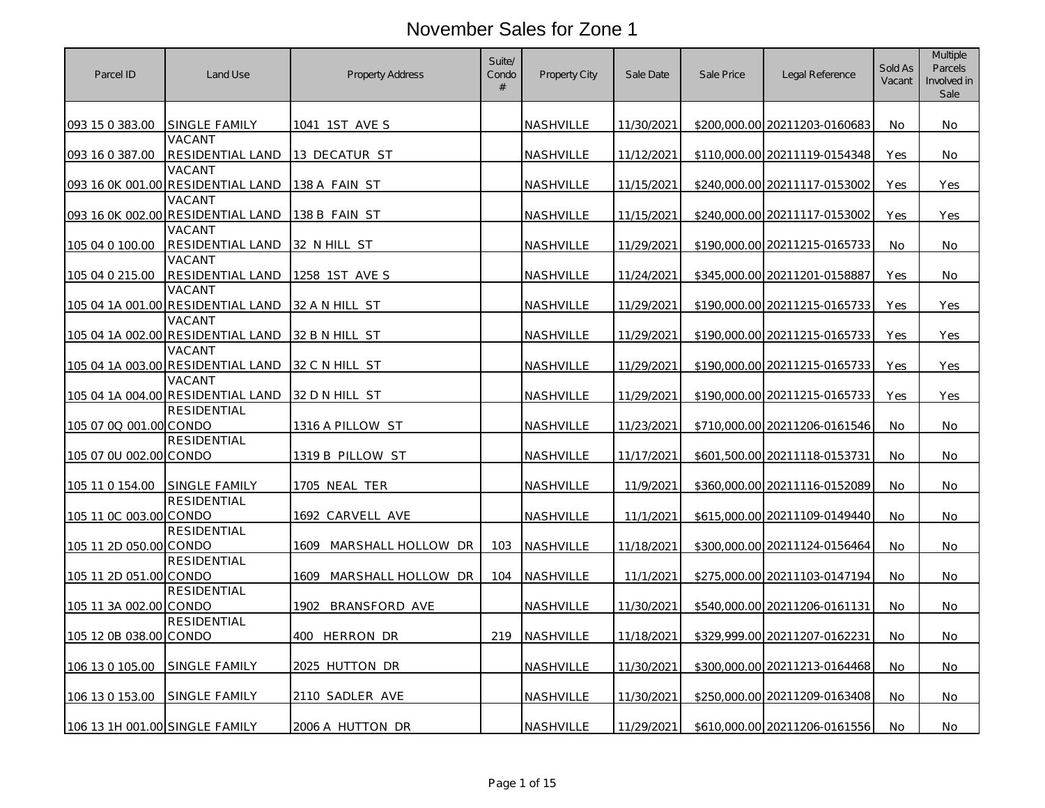| Parcel ID                      | Land Use                                    | Property Address           | Suite/<br>Condo<br># | Property City    | Sale Date  | Sale Price | Legal Reference               | Sold As<br>Vacant | <b>Multiple</b><br>Parcels<br>Involved in<br>Sale |
|--------------------------------|---------------------------------------------|----------------------------|----------------------|------------------|------------|------------|-------------------------------|-------------------|---------------------------------------------------|
| 093 15 0 383.00                | SINGLE FAMILY                               | 1041 1ST AVE S             |                      | NASHVILLE        | 11/30/2021 |            | \$200,000.00 20211203-0160683 | No.               | No.                                               |
| 093 16 0 387.00                | VACANT<br>RESIDENTIAL LAND                  | 13 DECATUR ST              |                      | NASHVILLE        | 11/12/2021 |            | \$110,000.00 20211119-0154348 | Yes               | No.                                               |
|                                | VACANT<br>093 16 0K 001.00 RESIDENTIAL LAND | 138 A FAIN ST              |                      | NASHVILLE        | 11/15/2021 |            | \$240,000.00 20211117-0153002 | Yes               | Yes                                               |
|                                | VACANT<br>093 16 0K 002.00 RESIDENTIAL LAND | 138 B FAIN ST              |                      | NASHVILLE        | 11/15/2021 |            | \$240,000.00 20211117-0153002 | Yes               | Yes                                               |
| 105 04 0 100.00                | VACANT<br>RESIDENTIAL LAND                  | 32 N HILL ST               |                      | NASHVILLE        | 11/29/2021 |            | \$190,000.00 20211215-0165733 | <b>No</b>         | No                                                |
| 105 04 0 215.00                | VACANT<br>RESIDENTIAL LAND                  | 1258 1ST AVE S             |                      | NASHVILLE        | 11/24/2021 |            | \$345,000.00 20211201-0158887 | Yes               | No                                                |
|                                | VACANT<br>105 04 1A 001.00 RESIDENTIAL LAND | 32 A N HILL ST             |                      | NASHVILLE        | 11/29/2021 |            | \$190,000.00 20211215-0165733 | Yes               | Yes                                               |
|                                | VACANT<br>105 04 1A 002.00 RESIDENTIAL LAND | 32 B N HILL ST             |                      | NASHVILLE        | 11/29/2021 |            | \$190,000.00 20211215-0165733 | Yes               | Yes                                               |
|                                | VACANT<br>105 04 1A 003.00 RESIDENTIAL LAND | 32 C N HILL ST             |                      | NASHVILLE        | 11/29/2021 |            | \$190,000.00 20211215-0165733 | Yes               | Yes                                               |
|                                | VACANT<br>105 04 1A 004.00 RESIDENTIAL LAND | 32 D N HILL ST             |                      | NASHVILLE        | 11/29/2021 |            | \$190,000.00 20211215-0165733 | Yes               | Yes                                               |
| 105 07 00 001.00 CONDO         | <b>RESIDENTIAL</b>                          | 1316 A PILLOW ST           |                      | NASHVILLE        | 11/23/2021 |            | \$710,000.00 20211206-0161546 | No                | No.                                               |
| 105 07 0U 002.00 CONDO         | <b>RESIDENTIAL</b>                          | 1319 B PILLOW ST           |                      | NASHVILLE        | 11/17/2021 |            | \$601,500.00 20211118-0153731 | No                | No                                                |
| 105 11 0 154.00                | <b>SINGLE FAMILY</b>                        | 1705 NEAL TER              |                      | NASHVILLE        | 11/9/2021  |            | \$360,000.00 20211116-0152089 | No                | No                                                |
| 105 11 0C 003.00 CONDO         | RESIDENTIAL                                 | 1692 CARVELL AVE           |                      | NASHVILLE        | 11/1/2021  |            | \$615,000.00 20211109-0149440 | No                | No                                                |
| 105 11 2D 050.00 CONDO         | <b>RESIDENTIAL</b>                          | MARSHALL HOLLOW DR<br>1609 | 103                  | <b>NASHVILLE</b> | 11/18/2021 |            | \$300,000.00 20211124-0156464 | <b>No</b>         | No                                                |
| 105 11 2D 051.00 CONDO         | <b>RESIDENTIAL</b>                          | 1609 MARSHALL HOLLOW DR    | 104                  | NASHVILLE        | 11/1/2021  |            | \$275,000.00 20211103-0147194 | No.               | No                                                |
| 105 11 3A 002.00 CONDO         | <b>RESIDENTIAL</b>                          | 1902<br>BRANSFORD AVE      |                      | NASHVILLE        | 11/30/2021 |            | \$540,000.00 20211206-0161131 | No.               | No                                                |
| 105 12 0B 038.00 CONDO         | <b>RESIDENTIAL</b>                          | 400 HERRON DR              | 219                  | NASHVILLE        | 11/18/2021 |            | \$329,999.00 20211207-0162231 | No.               | No                                                |
| 106 13 0 105.00                | SINGLE FAMILY                               | 2025 HUTTON DR             |                      | NASHVILLE        | 11/30/2021 |            | \$300,000.00 20211213-0164468 | <b>No</b>         | No                                                |
| 106 13 0 153.00                | SINGLE FAMILY                               | 2110 SADLER AVE            |                      | NASHVILLE        | 11/30/2021 |            | \$250,000.00 20211209-0163408 | No.               | No.                                               |
| 106 13 1H 001.00 SINGLE FAMILY |                                             | 2006 A HUTTON DR           |                      | NASHVILLE        | 11/29/2021 |            | \$610,000.00 20211206-0161556 | No                | No                                                |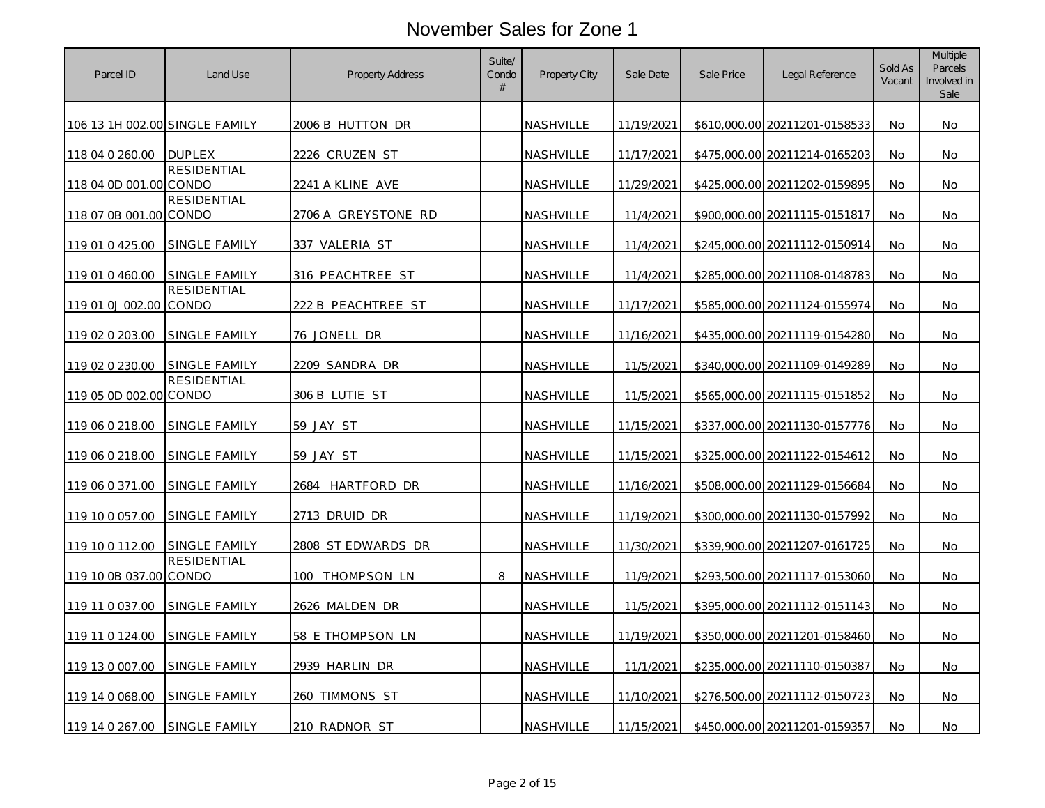| Parcel ID                      | Land Use           | <b>Property Address</b> | Suite/<br>Condo<br># | <b>Property City</b> | Sale Date  | Sale Price | Legal Reference               | Sold As<br>Vacant | Multiple<br><b>Parcels</b><br>Involved in<br>Sale |
|--------------------------------|--------------------|-------------------------|----------------------|----------------------|------------|------------|-------------------------------|-------------------|---------------------------------------------------|
| 106 13 1H 002.00 SINGLE FAMILY |                    | 2006 B HUTTON DR        |                      | NASHVILLE            | 11/19/2021 |            | \$610,000.00 20211201-0158533 | No.               | No.                                               |
| 118 04 0 260.00                | <b>DUPLEX</b>      | 2226 CRUZEN ST          |                      | NASHVILLE            | 11/17/2021 |            | \$475,000.00 20211214-0165203 | No                | No                                                |
| 118 04 0D 001.00 CONDO         | <b>RESIDENTIAL</b> | 2241 A KLINE AVE        |                      | NASHVILLE            | 11/29/2021 |            | \$425,000.00 20211202-0159895 | No                | No                                                |
| 118 07 0B 001.00 CONDO         | <b>RESIDENTIAL</b> | 2706 A GREYSTONE RD     |                      | NASHVILLE            | 11/4/2021  |            | \$900,000.00 20211115-0151817 | No                | No                                                |
| 119 01 0 425.00                | SINGLE FAMILY      | 337 VALERIA ST          |                      | <b>NASHVILLE</b>     | 11/4/2021  |            | \$245,000.00 20211112-0150914 | No                | No                                                |
| 119 01 0 460.00                | SINGLE FAMILY      | 316 PEACHTREE ST        |                      | <b>NASHVILLE</b>     | 11/4/2021  |            | \$285,000.00 20211108-0148783 | No                | No                                                |
| 119 01 0J 002.00 CONDO         | <b>RESIDENTIAL</b> | 222 B PEACHTREE ST      |                      | NASHVILLE            | 11/17/2021 |            | \$585,000.00 20211124-0155974 | No                | No                                                |
| 119 02 0 203.00                | SINGLE FAMILY      | 76 JONELL DR            |                      | NASHVILLE            | 11/16/2021 |            | \$435,000.00 20211119-0154280 | No                | No                                                |
| 119 02 0 230.00                | SINGLE FAMILY      | 2209 SANDRA DR          |                      | NASHVILLE            | 11/5/2021  |            | \$340,000.00 20211109-0149289 | No                | No                                                |
| 119 05 0D 002.00 CONDO         | <b>RESIDENTIAL</b> | 306 B LUTIE ST          |                      | NASHVILLE            | 11/5/2021  |            | \$565,000.00 20211115-0151852 | No                | No                                                |
| 119 06 0 218.00                | SINGLE FAMILY      | 59 JAY ST               |                      | NASHVILLE            | 11/15/2021 |            | \$337,000.00 20211130-0157776 | No                | No                                                |
| 119 06 0 218.00                | SINGLE FAMILY      | 59 JAY ST               |                      | NASHVILLE            | 11/15/2021 |            | \$325,000.00 20211122-0154612 | No                | No                                                |
| 119 06 0 371.00                | SINGLE FAMILY      | 2684 HARTFORD DR        |                      | NASHVILLE            | 11/16/2021 |            | \$508,000,00 20211129-0156684 | No                | No                                                |
| 119 10 0 057.00                | SINGLE FAMILY      | 2713 DRUID DR           |                      | NASHVILLE            | 11/19/2021 |            | \$300,000.00 20211130-0157992 | No                | No                                                |
| 119 10 0 112.00                | SINGLE FAMILY      | 2808 ST EDWARDS DR      |                      | NASHVILLE            | 11/30/2021 |            | \$339,900.00 20211207-0161725 | <b>No</b>         | No.                                               |
| 119 10 0B 037.00 CONDO         | RESIDENTIAL        | THOMPSON LN<br>100 -    | 8                    | NASHVILLE            | 11/9/2021  |            | \$293,500.00 20211117-0153060 | No                | No                                                |
| 119 11 0 037.00                | SINGLE FAMILY      | 2626 MALDEN DR          |                      | NASHVILLE            | 11/5/2021  |            | \$395,000.00 20211112-0151143 | No                | No                                                |
| 119 11 0 124.00                | SINGLE FAMILY      | 58 E THOMPSON LN        |                      | NASHVILLE            | 11/19/2021 |            | \$350,000.00 20211201-0158460 | No.               | No.                                               |
| 119 13 0 007.00                | SINGLE FAMILY      | 2939 HARLIN DR          |                      | NASHVILLE            | 11/1/2021  |            | \$235,000.00 20211110-0150387 | No                | No                                                |
| 119 14 0 068.00                | SINGLE FAMILY      | 260 TIMMONS ST          |                      | NASHVILLE            | 11/10/2021 |            | \$276,500.00 20211112-0150723 | No                | No                                                |
| 119 14 0 267.00                | SINGLE FAMILY      | 210 RADNOR ST           |                      | <b>NASHVILLE</b>     | 11/15/2021 |            | \$450,000.00 20211201-0159357 | No                | No.                                               |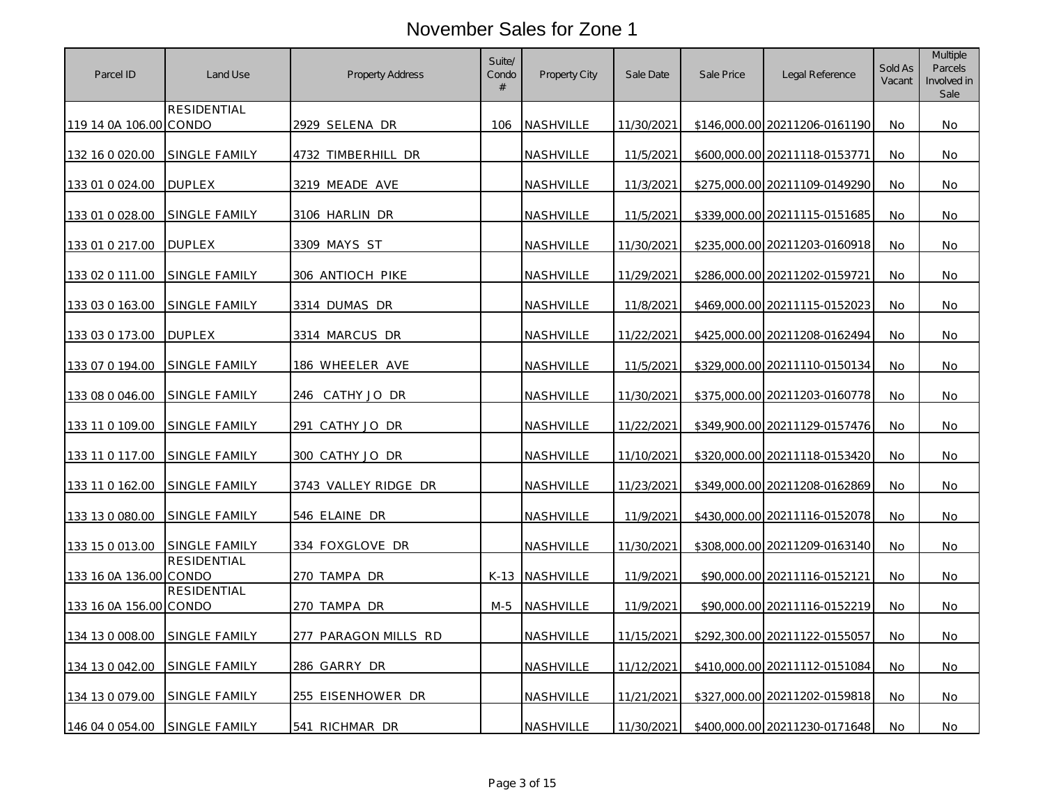| Parcel ID              | Land Use             | Property Address       | Suite/<br>Condo<br># | <b>Property City</b> | Sale Date  | Sale Price | Legal Reference               | Sold As<br>Vacant | Multiple<br><b>Parcels</b><br>Involved in<br>Sale |
|------------------------|----------------------|------------------------|----------------------|----------------------|------------|------------|-------------------------------|-------------------|---------------------------------------------------|
| 119 14 0A 106.00 CONDO | RESIDENTIAL          | 2929 SELENA DR         | 106                  | <b>NASHVILLE</b>     | 11/30/2021 |            | \$146,000.00 20211206-0161190 | <b>No</b>         | No.                                               |
| 132 16 0 020.00        | SINGLE FAMILY        | 4732 TIMBERHILL DR     |                      | NASHVILLE            | 11/5/2021  |            | \$600,000.00 20211118-0153771 | No                | No                                                |
| 133 01 0 024.00        | <b>DUPLEX</b>        | 3219 MEADE AVE         |                      | NASHVILLE            | 11/3/2021  |            | \$275,000.00 20211109-0149290 | No                | No                                                |
| 133 01 0 028.00        | SINGLE FAMILY        | 3106 HARLIN DR         |                      | <b>NASHVILLE</b>     | 11/5/2021  |            | \$339,000.00 20211115-0151685 | No                | No                                                |
| 133 01 0 217.00        | <b>DUPLEX</b>        | 3309 MAYS ST           |                      | NASHVILLE            | 11/30/2021 |            | \$235,000.00 20211203-0160918 | <b>No</b>         | <b>No</b>                                         |
| 133 02 0 111.00        | SINGLE FAMILY        | 306 ANTIOCH PIKE       |                      | NASHVILLE            | 11/29/2021 |            | \$286,000.00 20211202-0159721 | No                | No                                                |
| 133 03 0 163.00        | <b>SINGLE FAMILY</b> | 3314 DUMAS DR          |                      | NASHVILLE            | 11/8/2021  |            | \$469,000.00 20211115-0152023 | <b>No</b>         | No.                                               |
| 133 03 0 173.00        | <b>DUPLEX</b>        | 3314 MARCUS DR         |                      | NASHVILLE            | 11/22/2021 |            | \$425,000.00 20211208-0162494 | No                | No                                                |
| 133 07 0 194.00        | SINGLE FAMILY        | 186 WHEELER AVE        |                      | NASHVILLE            | 11/5/2021  |            | \$329,000.00 20211110-0150134 | No                | No                                                |
| 133 08 0 046.00        | SINGLE FAMILY        | 246 CATHY JO DR        |                      | NASHVILLE            | 11/30/2021 |            | \$375,000.00 20211203-0160778 | No.               | No                                                |
| 133 11 0 109.00        | SINGLE FAMILY        | <u>291 CATHY JO DR</u> |                      | NASHVILLE            | 11/22/2021 |            | \$349,900.00 20211129-0157476 | No.               | No.                                               |
| 133 11 0 117.00        | SINGLE FAMILY        | 300 CATHY JO DR        |                      | NASHVILLE            | 11/10/2021 |            | \$320,000.00 20211118-0153420 | <b>No</b>         | No                                                |
| 133 11 0 162.00        | SINGLE FAMILY        | 3743 VALLEY RIDGE DR   |                      | NASHVILLE            | 11/23/2021 |            | \$349,000.00 20211208-0162869 | No                | No                                                |
| 133 13 0 080.00        | SINGLE FAMILY        | 546 ELAINE DR          |                      | <b>NASHVILLE</b>     | 11/9/2021  |            | \$430,000.00 20211116-0152078 | No                | No.                                               |
| 133 15 0 013.00        | SINGLE FAMILY        | 334 FOXGLOVE DR        |                      | NASHVILLE            | 11/30/2021 |            | \$308,000.00 20211209-0163140 | <b>No</b>         | <b>No</b>                                         |
| 133 16 0A 136.00 CONDO | <b>RESIDENTIAL</b>   | 270 TAMPA DR           |                      | K-13 NASHVILLE       | 11/9/2021  |            | \$90,000.00 20211116-0152121  | No                | No                                                |
| 133 16 0A 156.00 CONDO | RESIDENTIAL          | 270 TAMPA DR           | M-5                  | <b>NASHVILLE</b>     | 11/9/2021  |            | \$90,000.00 20211116-0152219  | No.               | No                                                |
| 134 13 0 008.00        | SINGLE FAMILY        | 277 PARAGON MILLS RD   |                      | NASHVILLE            | 11/15/2021 |            | \$292,300.00 20211122-0155057 | No                | No                                                |
| 134 13 0 042.00        | SINGLE FAMILY        | 286 GARRY DR           |                      | NASHVILLE            | 11/12/2021 |            | \$410,000.00 20211112-0151084 | <b>No</b>         | <b>No</b>                                         |
| 134 13 0 079.00        | SINGLE FAMILY        | 255 EISENHOWER DR      |                      | NASHVILLE            | 11/21/2021 |            | \$327,000.00 20211202-0159818 | <b>No</b>         | No                                                |
| 146 04 0 054.00        | SINGLE FAMILY        | 541 RICHMAR DR         |                      | NASHVILLE            | 11/30/2021 |            | \$400,000.00 20211230-0171648 | No                | No                                                |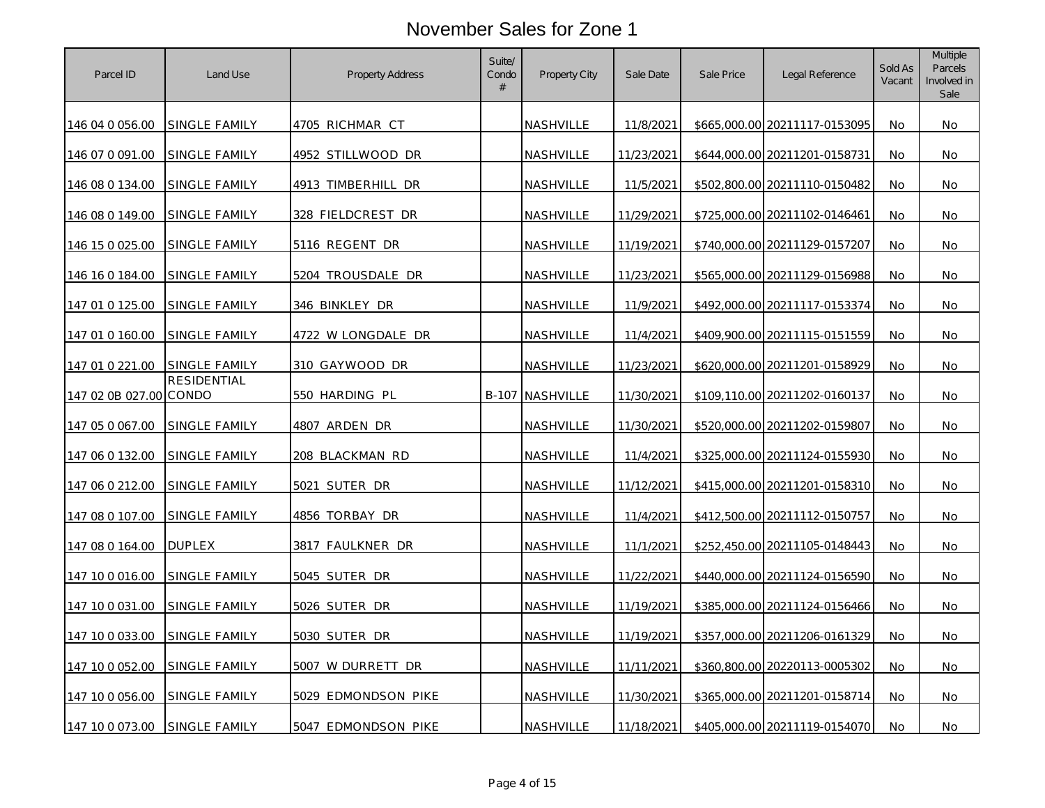| Parcel ID              | Land Use             | Property Address           | Suite/<br>Condo<br># | Property City    | Sale Date  | Sale Price | Legal Reference               | Sold As<br>Vacant | Multiple<br><b>Parcels</b><br>Involved in<br>Sale |
|------------------------|----------------------|----------------------------|----------------------|------------------|------------|------------|-------------------------------|-------------------|---------------------------------------------------|
| 146 04 0 056.00        | <b>SINGLE FAMILY</b> | 4705 RICHMAR CT            |                      | NASHVILLE        | 11/8/2021  |            | \$665,000.00 20211117-0153095 | No.               | No                                                |
| 146 07 0 091.00        | SINGLE FAMILY        | 4952 STILLWOOD DR          |                      | NASHVILLE        | 11/23/2021 |            | \$644,000.00 20211201-0158731 | No.               | No                                                |
| 146 08 0 134.00        | SINGLE FAMILY        | <u>4913 TIMBERHIL</u> L DR |                      | NASHVILLE        | 11/5/2021  |            | \$502,800.00 20211110-0150482 | No                | No                                                |
| 146 08 0 149.00        | SINGLE FAMILY        | 328 FIELDCREST DR          |                      | NASHVILLE        | 11/29/2021 |            | \$725,000.00 20211102-0146461 | No                | No                                                |
| 146 15 0 025.00        | SINGLE FAMILY        | 5116 REGENT DR             |                      | NASHVILLE        | 11/19/2021 |            | \$740,000.00 20211129-0157207 | No                | No                                                |
| 146 16 0 184.00        | <b>SINGLE FAMILY</b> | 5204 TROUSDALE DR          |                      | NASHVILLE        | 11/23/2021 |            | \$565,000.00 20211129-0156988 | No                | No                                                |
| 147 01 0 125.00        | SINGLE FAMILY        | 346 BINKLEY DR             |                      | NASHVILLE        | 11/9/2021  |            | \$492,000.00 20211117-0153374 | No.               | No                                                |
| 147 01 0 160.00        | SINGLE FAMILY        | 4722 W LONGDALE DR         |                      | NASHVILLE        | 11/4/2021  |            | \$409,900.00 20211115-0151559 | No                | No                                                |
| 147 01 0 221.00        | <b>SINGLE FAMILY</b> | 310 GAYWOOD DR             |                      | NASHVILLE        | 11/23/2021 |            | \$620,000.00 20211201-0158929 | No                | No                                                |
| 147 02 0B 027.00 CONDO | <b>RESIDENTIAL</b>   | 550 HARDING PL             |                      | B-107 NASHVILLE  | 11/30/2021 |            | \$109,110.00 20211202-0160137 | No.               | No.                                               |
| 147 05 0 067.00        | SINGLE FAMILY        | 4807 ARDEN DR              |                      | <u>NASHVILLE</u> | 11/30/2021 |            | \$520,000.00 20211202-0159807 | No.               | No.                                               |
| 147 06 0 132.00        | SINGLE FAMILY        | 208 BLACKMAN RD            |                      | NASHVILLE        | 11/4/2021  |            | \$325,000.00 20211124-0155930 | <b>No</b>         | No                                                |
| 147 06 0 212.00        | SINGLE FAMILY        | 5021 SUTER DR              |                      | NASHVILLE        | 11/12/2021 |            | \$415,000.00 20211201-0158310 | No                | No                                                |
| 147 08 0 107.00        | <b>SINGLE FAMILY</b> | 4856 TORBAY DR             |                      | <u>NASHVILLE</u> | 11/4/2021  |            | \$412,500.00 20211112-0150757 | No                | No                                                |
| 147 08 0 164.00        | <b>DUPLEX</b>        | 3817 FAULKNER DR           |                      | NASHVILLE        | 11/1/2021  |            | \$252,450.00 20211105-0148443 | No                | No                                                |
| 147 10 0 016.00        | <b>SINGLE FAMILY</b> | 5045 SUTER DR              |                      | NASHVILLE        | 11/22/2021 |            | \$440,000.00 20211124-0156590 | No                | No                                                |
| 147 10 0 031.00        | SINGLE FAMILY        | 5026 SUTER DR              |                      | NASHVILLE        | 11/19/2021 |            | \$385,000.00 20211124-0156466 | No                | No                                                |
| 147 10 0 033.00        | SINGLE FAMILY        | 5030 SUTER DR              |                      | NASHVILLE        | 11/19/2021 |            | \$357,000.00 20211206-0161329 | No                | No                                                |
| 147 10 0 052.00        | SINGLE FAMILY        | 5007 W DURRETT DR          |                      | NASHVILLE        | 11/11/2021 |            | \$360,800.00 20220113-0005302 | No                | No                                                |
| 147 10 0 056.00        | SINGLE FAMILY        | 5029 EDMONDSON PIKE        |                      | NASHVILLE        | 11/30/2021 |            | \$365,000.00 20211201-0158714 | No                | No                                                |
| 147 10 0 073.00        | <b>SINGLE FAMILY</b> | 5047 EDMONDSON PIKE        |                      | NASHVILLE        | 11/18/2021 |            | \$405,000.00 20211119-0154070 | No                | No                                                |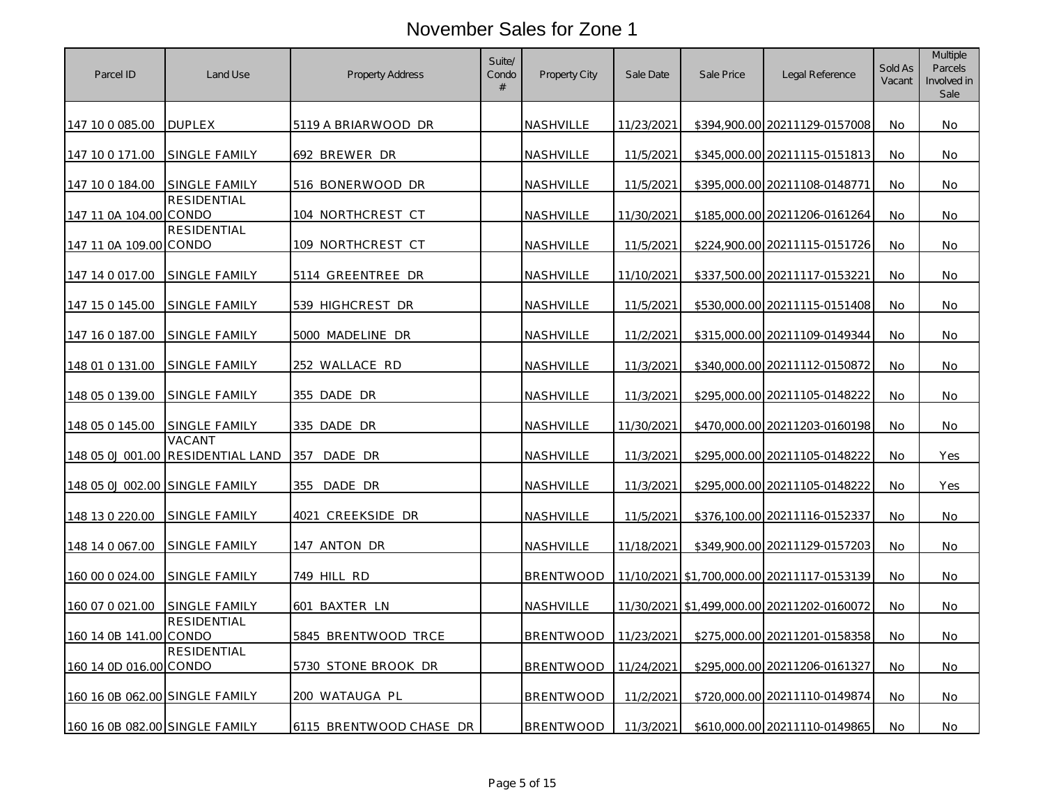| Parcel ID                      | Land Use                                    | Property Address        | Suite/<br>Condo<br># | <b>Property City</b> | Sale Date  | Sale Price | Legal Reference                            | Sold As<br>Vacant | <b>Multiple</b><br><b>Parcels</b><br>Involved in<br>Sale |
|--------------------------------|---------------------------------------------|-------------------------|----------------------|----------------------|------------|------------|--------------------------------------------|-------------------|----------------------------------------------------------|
| 147 10 0 085.00                | <b>DUPLEX</b>                               | 5119 A BRIARWOOD DR     |                      | <b>NASHVILLE</b>     | 11/23/2021 |            | \$394,900.00 20211129-0157008              | No.               | No                                                       |
| 147 10 0 171.00                | SINGLE FAMILY                               | 692 BREWER DR           |                      | NASHVILLE            | 11/5/2021  |            | \$345,000.00 20211115-0151813              | No                | No                                                       |
| 147 10 0 184.00                | SINGLE FAMILY                               | 516 BONERWOOD DR        |                      | <u>NASHVILLE</u>     | 11/5/2021  |            | \$395,000.00 20211108-0148771              | No.               | No.                                                      |
| 147 11 0A 104.00 CONDO         | RESIDENTIAL                                 | 104 NORTHCREST CT       |                      | NASHVILLE            | 11/30/2021 |            | \$185,000.00 20211206-0161264              | <b>No</b>         | No                                                       |
| 147 11 0A 109.00 CONDO         | <b>RESIDENTIAL</b>                          | 109 NORTHCREST CT       |                      | <b>NASHVILLE</b>     | 11/5/2021  |            | \$224,900.00 20211115-0151726              | No                | No                                                       |
| 147 14 0 017.00                | SINGLE FAMILY                               | 5114 GREENTREE DR       |                      | NASHVILLE            | 11/10/2021 |            | \$337,500.00 20211117-0153221              | No                | No                                                       |
| 147 15 0 145.00                | SINGLE FAMILY                               | 539 HIGHCREST DR        |                      | NASHVILLE            | 11/5/2021  |            | \$530,000.00 20211115-0151408              | No                | No                                                       |
| 147 16 0 187.00                | SINGLE FAMILY                               | 5000 MADELINE DR        |                      | <u>NASHVILLE</u>     | 11/2/2021  |            | \$315,000.00 20211109-0149344              | No                | No                                                       |
| 148 01 0 131.00                | SINGLE FAMILY                               | 252 WALLACE RD          |                      | NASHVILLE            | 11/3/2021  |            | \$340,000.00 20211112-0150872              | No                | No                                                       |
| 148 05 0 139.00                | SINGLE FAMILY                               | 355 DADE DR             |                      | NASHVILLE            | 11/3/2021  |            | \$295,000.00 20211105-0148222              | No                | No.                                                      |
| 148 05 0 145.00                | SINGLE FAMILY                               | 335 DADE DR             |                      | NASHVILLE            | 11/30/2021 |            | \$470,000.00 20211203-0160198              | No                | No                                                       |
|                                | VACANT<br>148 05 0J 001.00 RESIDENTIAL LAND | DADE DR<br>357          |                      | NASHVILLE            | 11/3/2021  |            | \$295,000.00 20211105-0148222              | No                | Yes                                                      |
| 148 05 0J 002.00 SINGLE FAMILY |                                             | 355<br>DADE DR          |                      | NASHVILLE            | 11/3/2021  |            | \$295,000.00 20211105-0148222              | No                | Yes                                                      |
| 148 13 0 220.00                | SINGLE FAMILY                               | 4021 CREEKSIDE DR       |                      | NASHVILLE            | 11/5/2021  |            | \$376,100.00 20211116-0152337              | No                | No                                                       |
| 148 14 0 067.00                | SINGLE FAMILY                               | 147 ANTON DR            |                      | <b>NASHVILLE</b>     | 11/18/2021 |            | \$349,900.00 20211129-0157203              | No                | No                                                       |
| 160 00 0 024.00                | SINGLE FAMILY                               | 749 HILL RD             |                      | <b>BRENTWOOD</b>     |            |            | 11/10/2021 \$1,700,000.00 20211117-0153139 | No                | No                                                       |
| 160 07 0 021.00                | SINGLE FAMILY                               | 601 BAXTER LN           |                      | <b>NASHVILLE</b>     |            |            | 11/30/2021 \$1.499.000.00 20211202-0160072 | No                | No                                                       |
| 160 14 0B 141.00 CONDO         | <b>RESIDENTIAL</b>                          | 5845 BRENTWOOD TRCE     |                      | <b>BRENTWOOD</b>     | 11/23/2021 |            | \$275,000.00 20211201-0158358              | No                | No                                                       |
| 160 14 0D 016.00 CONDO         | <b>RESIDENTIAL</b>                          | 5730 STONE BROOK DR     |                      | <b>BRENTWOOD</b>     | 11/24/2021 |            | \$295,000.00 20211206-0161327              | No                | No                                                       |
| 160 16 0B 062.00 SINGLE FAMILY |                                             | 200 WATAUGA PL          |                      | <b>BRENTWOOD</b>     | 11/2/2021  |            | \$720,000.00 20211110-0149874              | No.               | No.                                                      |
| 160 16 0B 082.00 SINGLE FAMILY |                                             | 6115 BRENTWOOD CHASE DR |                      | <b>BRENTWOOD</b>     | 11/3/2021  |            | \$610,000.00 20211110-0149865              | No                | No                                                       |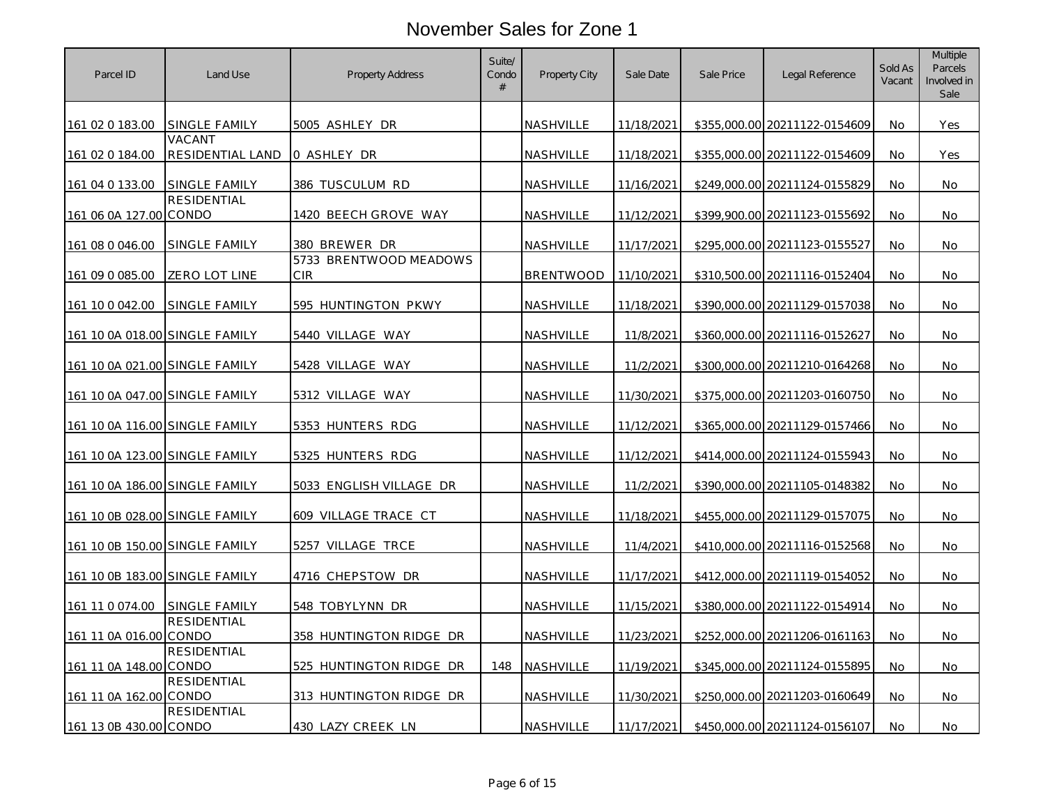| Parcel ID                      | Land Use                   | Property Address                     | Suite/<br>Condo<br># | <b>Property City</b> | Sale Date  | Sale Price | Legal Reference               | Sold As<br>Vacant | Multiple<br><b>Parcels</b><br>Involved in<br>Sale |
|--------------------------------|----------------------------|--------------------------------------|----------------------|----------------------|------------|------------|-------------------------------|-------------------|---------------------------------------------------|
| 161 02 0 183.00                | SINGLE FAMILY              | 5005 ASHLEY DR                       |                      | NASHVILLE            | 11/18/2021 |            | \$355,000.00 20211122-0154609 | No.               | Yes                                               |
| 161 02 0 184.00                | VACANT<br>RESIDENTIAL LAND | 0 ASHLEY DR                          |                      | <b>NASHVILLE</b>     | 11/18/2021 |            | \$355,000.00 20211122-0154609 | No                | Yes                                               |
| 161 04 0 133.00                | SINGLE FAMILY              | 386 TUSCULUM RD                      |                      | NASHVILLE            | 11/16/2021 |            | \$249,000.00 20211124-0155829 | No                | No                                                |
| 161 06 0A 127.00 CONDO         | <b>RESIDENTIAL</b>         | 1420 BEECH GROVE WAY                 |                      | NASHVILLE            | 11/12/2021 |            | \$399,900.00 20211123-0155692 | No                | No                                                |
| 161 08 0 046.00                | SINGLE FAMILY              | 380 BREWER DR                        |                      | NASHVILLE            | 11/17/2021 |            | \$295,000,00 20211123-0155527 | No.               | <b>No</b>                                         |
| 161 09 0 085.00                | ZERO LOT LINE              | 5733 BRENTWOOD MEADOWS<br><b>CIR</b> |                      | <b>BRENTWOOD</b>     | 11/10/2021 |            | \$310,500.00 20211116-0152404 | No                | No                                                |
| 161 10 0 042.00                | SINGLE FAMILY              | 595 HUNTINGTON PKWY                  |                      | NASHVILLE            | 11/18/2021 |            | \$390,000.00 20211129-0157038 | No                | No.                                               |
| 161 10 0A 018.00 SINGLE FAMILY |                            | 5440 VILLAGE WAY                     |                      | NASHVILLE            | 11/8/2021  |            | \$360,000.00 20211116-0152627 | No                | No                                                |
| 161 10 0A 021.00 SINGLE FAMILY |                            | 5428 VILLAGE WAY                     |                      | NASHVILLE            | 11/2/2021  |            | \$300,000.00 20211210-0164268 | No                | No.                                               |
| 161 10 0A 047.00 SINGLE FAMILY |                            | 5312 VILLAGE WAY                     |                      | <b>NASHVILLE</b>     | 11/30/2021 |            | \$375,000.00 20211203-0160750 | No                | No                                                |
| 161 10 0A 116.00 SINGLE FAMILY |                            | 5353 HUNTERS RDG                     |                      | NASHVILLE            | 11/12/2021 |            | \$365,000.00 20211129-0157466 | No                | No                                                |
| 161 10 0A 123.00 SINGLE FAMILY |                            | 5325 HUNTERS RDG                     |                      | NASHVILLE            | 11/12/2021 |            | \$414,000.00 20211124-0155943 | No                | No                                                |
| 161 10 0A 186.00 SINGLE FAMILY |                            | 5033 ENGLISH VILLAGE DR              |                      | NASHVILLE            | 11/2/2021  |            | \$390,000.00 20211105-0148382 | No                | No                                                |
| 161 10 0B 028.00 SINGLE FAMILY |                            | 609 VILLAGE TRACE CT                 |                      | NASHVILLE            | 11/18/2021 |            | \$455,000.00 20211129-0157075 | <b>No</b>         | No.                                               |
| 161 10 0B 150.00 SINGLE FAMILY |                            | 5257 VILLAGE TRCE                    |                      | <b>NASHVILLE</b>     | 11/4/2021  |            | \$410,000.00 20211116-0152568 | No                | No                                                |
| 161 10 0B 183.00 SINGLE FAMILY |                            | 4716 CHEPSTOW DR                     |                      | NASHVILLE            | 11/17/2021 |            | \$412,000.00 20211119-0154052 | No                | No                                                |
| 161 11 0 074.00                | SINGLE FAMILY              | 548 TOBYLYNN DR                      |                      | NASHVILLE            | 11/15/2021 |            | \$380,000.00 20211122-0154914 | No                | No                                                |
| 161 11 0A 016.00 CONDO         | RESIDENTIAL                | 358 HUNTINGTON RIDGE DR              |                      | NASHVILLE            | 11/23/2021 |            | \$252,000.00 20211206-0161163 | No                | No                                                |
| 161 11 0A 148.00 CONDO         | <b>RESIDENTIAL</b>         | 525 HUNTINGTON RIDGE DR              | 148                  | NASHVILLE            | 11/19/2021 |            | \$345,000.00 20211124-0155895 | No                | No                                                |
| 161 11 0A 162.00 CONDO         | <b>RESIDENTIAL</b>         | 313 HUNTINGTON RIDGE DR              |                      | NASHVILLE            | 11/30/2021 |            | \$250,000.00 20211203-0160649 | No.               | No.                                               |
| 161 13 0B 430.00 CONDO         | <b>RESIDENTIAL</b>         | 430 LAZY CREEK LN                    |                      | NASHVILLE            | 11/17/2021 |            | \$450,000.00 20211124-0156107 | No                | No                                                |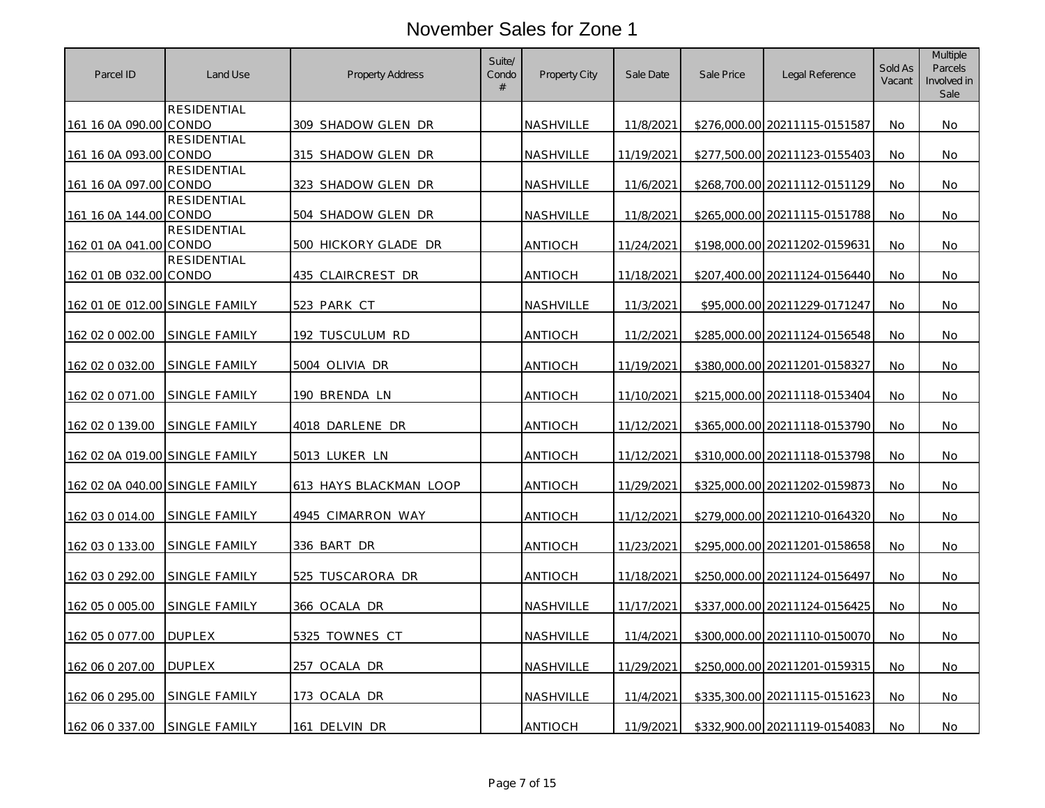| Parcel ID                      | Land Use             | <b>Property Address</b> | Suite/<br>Condo<br># | <b>Property City</b> | Sale Date  | Sale Price | Legal Reference               | Sold As<br>Vacant | <b>Multiple</b><br><b>Parcels</b><br>Involved in<br>Sale |
|--------------------------------|----------------------|-------------------------|----------------------|----------------------|------------|------------|-------------------------------|-------------------|----------------------------------------------------------|
| 161 16 0A 090.00 CONDO         | RESIDENTIAL          | 309 SHADOW GLEN DR      |                      | <b>NASHVILLE</b>     | 11/8/2021  |            | \$276,000.00 20211115-0151587 | No.               | No.                                                      |
|                                | <b>RESIDENTIAL</b>   |                         |                      |                      |            |            |                               |                   |                                                          |
| 161 16 0A 093.00 CONDO         |                      | 315 SHADOW GLEN DR      |                      | NASHVILLE            | 11/19/2021 |            | \$277,500.00 20211123-0155403 | No                | No                                                       |
| 161 16 0A 097.00 CONDO         | <b>RESIDENTIAL</b>   | 323 SHADOW GLEN DR      |                      | NASHVILLE            | 11/6/2021  |            | \$268,700.00 20211112-0151129 | No.               | No.                                                      |
| 161 16 0A 144.00 CONDO         | <b>RESIDENTIAL</b>   | 504 SHADOW GLEN DR      |                      | NASHVILLE            | 11/8/2021  |            | \$265,000.00 20211115-0151788 | <b>No</b>         | No                                                       |
| 162 01 0A 041.00 CONDO         | <b>RESIDENTIAL</b>   | 500 HICKORY GLADE DR    |                      | <b>ANTIOCH</b>       | 11/24/2021 |            | \$198,000.00 20211202-0159631 | No.               | No.                                                      |
|                                | <b>RESIDENTIAL</b>   |                         |                      |                      |            |            |                               |                   |                                                          |
| 162 01 0B 032.00 CONDO         |                      | 435 CLAIRCREST DR       |                      | <b>ANTIOCH</b>       | 11/18/2021 |            | \$207,400.00 20211124-0156440 | No                | No                                                       |
| 162 01 0E 012.00 SINGLE FAMILY |                      | <u>523 PARK CT</u>      |                      | NASHVILLE            | 11/3/2021  |            | \$95,000.00 20211229-0171247  | No.               | No.                                                      |
| 162 02 0 002.00                | SINGLE FAMILY        | 192 TUSCULUM RD         |                      | <b>ANTIOCH</b>       | 11/2/2021  |            | \$285,000.00 20211124-0156548 | <b>No</b>         | No.                                                      |
| 162 02 0 032.00                | SINGLE FAMILY        | 5004 OLIVIA DR          |                      | <b>ANTIOCH</b>       | 11/19/2021 |            | \$380,000,00 20211201-0158327 | No.               | <b>No</b>                                                |
| 162 02 0 071.00                | SINGLE FAMILY        | 190 BRENDA LN           |                      | ANTIOCH              | 11/10/2021 |            | \$215,000.00 20211118-0153404 | No                | No.                                                      |
| 162 02 0 139.00                | SINGLE FAMILY        | 4018 DARLENE DR         |                      | <b>ANTIOCH</b>       | 11/12/2021 |            | \$365,000.00 20211118-0153790 | No.               | No.                                                      |
| 162 02 0A 019.00 SINGLE FAMILY |                      | 5013 LUKER LN           |                      | <b>ANTIOCH</b>       | 11/12/2021 |            | \$310,000.00 20211118-0153798 | <b>No</b>         | No                                                       |
|                                |                      |                         |                      |                      |            |            |                               |                   |                                                          |
| 162 02 0A 040.00 SINGLE FAMILY |                      | 613 HAYS BLACKMAN LOOP  |                      | <b>ANTIOCH</b>       | 11/29/2021 |            | \$325,000.00 20211202-0159873 | No                | No                                                       |
| 162 03 0 014.00                | <b>SINGLE FAMILY</b> | 4945 CIMARRON WAY       |                      | <b>ANTIOCH</b>       | 11/12/2021 |            | \$279,000.00 20211210-0164320 | <b>No</b>         | No.                                                      |
| 162 03 0 133.00                | SINGLE FAMILY        | 336 BART DR             |                      | ANTIOCH              | 11/23/2021 |            | \$295,000.00 20211201-0158658 | No                | No                                                       |
| 162 03 0 292.00                | SINGLE FAMILY        | 525 TUSCARORA DR        |                      | ANTIOCH              | 11/18/2021 |            | \$250,000.00 20211124-0156497 | No.               | No.                                                      |
| 162 05 0 005.00                | SINGLE FAMILY        | 366 OCALA DR            |                      | NASHVILLE            | 11/17/2021 |            | \$337,000.00 20211124-0156425 | No                | No                                                       |
| 162 05 0 077.00                | <b>DUPLEX</b>        | 5325 TOWNES CT          |                      | NASHVILLE            | 11/4/2021  |            | \$300,000.00 20211110-0150070 | No.               | No.                                                      |
| 162 06 0 207.00                | <b>DUPLEX</b>        | 257 OCALA DR            |                      | NASHVILLE            | 11/29/2021 |            | \$250,000.00 20211201-0159315 | <b>No</b>         | No                                                       |
| 162 06 0 295.00                | SINGLE FAMILY        | 173 OCALA DR            |                      | NASHVILLE            | 11/4/2021  |            | \$335,300.00 20211115-0151623 | No.               | No.                                                      |
|                                |                      |                         |                      |                      |            |            |                               |                   |                                                          |
| 162 06 0 337.00                | SINGLE FAMILY        | 161 DELVIN DR           |                      | <b>ANTIOCH</b>       | 11/9/2021  |            | \$332,900.00 20211119-0154083 | No                | No                                                       |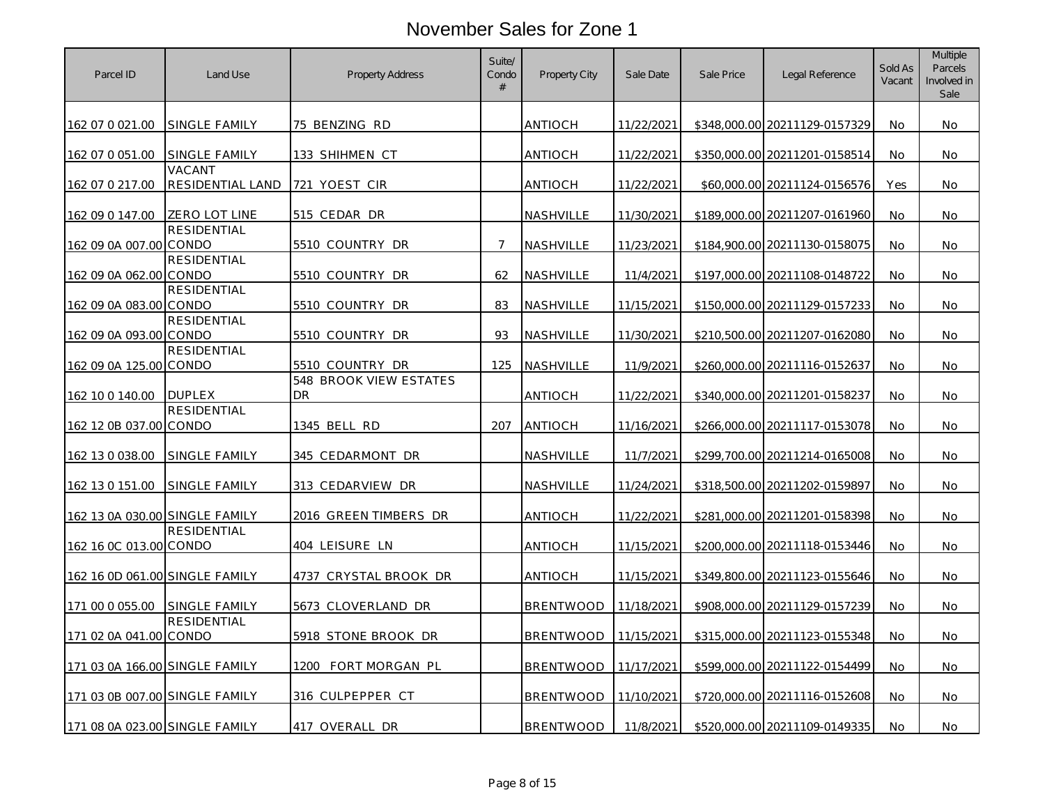| Parcel ID                      | Land Use                    | Property Address                           | Suite/<br>Condo<br># | <b>Property City</b> | Sale Date  | Sale Price | Legal Reference               | Sold As<br>Vacant | <b>Multiple</b><br><b>Parcels</b><br>Involved in<br>Sale |
|--------------------------------|-----------------------------|--------------------------------------------|----------------------|----------------------|------------|------------|-------------------------------|-------------------|----------------------------------------------------------|
| 162 07 0 021.00                | <b>SINGLE FAMILY</b>        | 75 BENZING RD                              |                      | antioch              | 11/22/2021 |            | \$348,000.00 20211129-0157329 | No.               | No.                                                      |
| 162 07 0 051.00                | SINGLE FAMILY               | 133 SHIHMEN CT                             |                      | <b>ANTIOCH</b>       | 11/22/2021 |            | \$350,000.00 20211201-0158514 | No.               | No                                                       |
| 162 07 0 217.00                | VACANT<br>RESIDENTIAL LAND  | 721 YOEST CIR                              |                      | antioch              | 11/22/2021 |            | \$60,000.00 20211124-0156576  | Yes               | No                                                       |
| 162 09 0 147.00                | ZERO LOT LINE               | 515 CEDAR DR                               |                      | NASHVILLE            | 11/30/2021 |            | \$189,000.00 20211207-0161960 | No                | No                                                       |
| 162 09 0A 007.00 CONDO         | <b>RESIDENTIAL</b>          | 5510 COUNTRY DR                            | $\overline{7}$       | NASHVILLE            | 11/23/2021 |            | \$184,900.00 20211130-0158075 | No.               | No.                                                      |
| 162 09 0A 062.00 CONDO         | RESIDENTIAL                 | 5510 COUNTRY DR                            | 62                   | <b>NASHVILLE</b>     | 11/4/2021  |            | \$197,000.00 20211108-0148722 | No                | No                                                       |
| 162 09 0A 083.00               | <b>RESIDENTIAL</b><br>CONDO | 5510 COUNTRY DR                            | 83                   | NASHVILLE            | 11/15/2021 |            | \$150,000.00 20211129-0157233 | No.               | No.                                                      |
| 162 09 0A 093.00 CONDO         | <b>RESIDENTIAL</b>          | 5510 COUNTRY DR                            | 93                   | NASHVILLE            | 11/30/2021 |            | \$210,500.00 20211207-0162080 | No                | No                                                       |
| 162 09 0A 125.00 CONDO         | <b>RESIDENTIAL</b>          | 5510 COUNTRY DR                            | 125                  | NASHVILLE            | 11/9/2021  |            | \$260,000.00 20211116-0152637 | No                | No                                                       |
| 162 10 0 140.00                | <b>DUPLEX</b>               | <b>548 BROOK VIEW ESTATES</b><br><b>DR</b> |                      | ANTIOCH              | 11/22/2021 |            | \$340,000.00 20211201-0158237 | No.               | No                                                       |
| 162 12 0B 037.00 CONDO         | <b>RESIDENTIAL</b>          | 1345 BELL RD                               | 207                  | <b>ANTIOCH</b>       | 11/16/2021 |            | \$266,000.00 20211117-0153078 | No.               | <b>No</b>                                                |
| 162 13 0 038.00                | SINGLE FAMILY               | 345 CEDARMONT DR                           |                      | NASHVILLE            | 11/7/2021  |            | \$299,700.00 20211214-0165008 | <b>No</b>         | No                                                       |
| 162 13 0 151.00                | <b>SINGLE FAMILY</b>        | 313 CEDARVIEW DR                           |                      | NASHVILLE            | 11/24/2021 |            | \$318,500.00 20211202-0159897 | No                | No                                                       |
| 162 13 0A 030.00 SINGLE FAMILY |                             | 2016 GREEN TIMBERS DR                      |                      | <b>ANTIOCH</b>       | 11/22/2021 |            | \$281,000.00 20211201-0158398 | No                | No.                                                      |
| 162 16 0C 013.00 CONDO         | RESIDENTIAL                 | 404 LEISURE LN                             |                      | ANTIOCH              | 11/15/2021 |            | \$200,000.00 20211118-0153446 | No.               | No                                                       |
| 162 16 0D 061.00 SINGLE FAMILY |                             | 4737 CRYSTAL BROOK DR                      |                      | antioch              | 11/15/2021 |            | \$349,800.00 20211123-0155646 | No                | No                                                       |
| 171 00 0 055.00                | <b>SINGLE FAMILY</b>        | 5673 CLOVERLAND DR                         |                      | <b>BRENTWOOD</b>     | 11/18/2021 |            | \$908,000.00 20211129-0157239 | No.               | No                                                       |
| 171 02 0A 041.00 CONDO         | <b>RESIDENTIAL</b>          | 5918 STONE BROOK DR                        |                      | <b>BRENTWOOD</b>     | 11/15/2021 |            | \$315,000.00 20211123-0155348 | No                | No                                                       |
| 171 03 0A 166.00 SINGLE FAMILY |                             | 1200 FORT MORGAN PL                        |                      | <b>BRENTWOOD</b>     | 11/17/2021 |            | \$599,000.00 20211122-0154499 | No                | No.                                                      |
| 171 03 0B 007.00 SINGLE FAMILY |                             | 316 CULPEPPER CT                           |                      | <b>BRENTWOOD</b>     | 11/10/2021 |            | \$720,000.00 20211116-0152608 | <b>No</b>         | No                                                       |
| 171 08 0A 023.00 SINGLE FAMILY |                             | 417 OVERALL DR                             |                      | <b>BRENTWOOD</b>     | 11/8/2021  |            | \$520,000.00 20211109-0149335 | No                | No                                                       |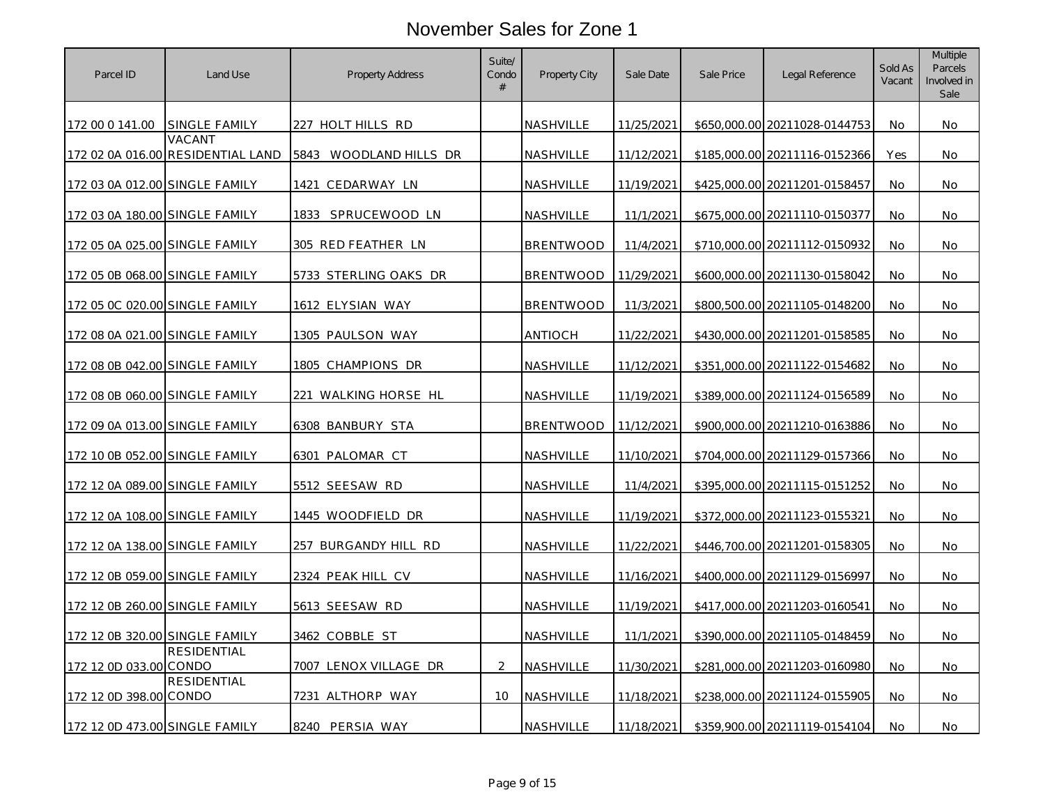| Parcel ID                      | Land Use                                    | Property Address        | Suite/<br>Condo<br># | Property City    | Sale Date  | Sale Price | Legal Reference               | Sold As<br>Vacant | <b>Multiple</b><br>Parcels<br>Involved in<br>Sale |
|--------------------------------|---------------------------------------------|-------------------------|----------------------|------------------|------------|------------|-------------------------------|-------------------|---------------------------------------------------|
| 172 00 0 141.00                | <b>SINGLE FAMILY</b>                        | 227 HOLT HILLS RD       |                      | <b>NASHVILLE</b> | 11/25/2021 |            | \$650,000.00 20211028-0144753 | No.               | No                                                |
|                                | VACANT<br>172 02 0A 016.00 RESIDENTIAL LAND | 5843 WOODLAND HILLS DR  |                      | NASHVILLE        | 11/12/2021 |            | \$185,000.00 20211116-0152366 | Yes               | No                                                |
| 172 03 0A 012.00 SINGLE FAMILY |                                             | CEDARWAY LN<br>1421     |                      | <b>NASHVILLE</b> | 11/19/2021 |            | \$425,000.00 20211201-0158457 | No.               | No                                                |
| 172 03 0A 180.00 SINGLE FAMILY |                                             | 1833 SPRUCEWOOD LN      |                      | <b>NASHVILLE</b> | 11/1/2021  |            | \$675,000.00 20211110-0150377 | <b>No</b>         | No                                                |
| 172 05 0A 025.00 SINGLE FAMILY |                                             | 305 RED FEATHER LN      |                      | <b>BRENTWOOD</b> | 11/4/2021  |            | \$710.000.00 20211112-0150932 | No.               | No.                                               |
| 172 05 0B 068.00 SINGLE FAMILY |                                             | 5733 STERLING OAKS DR   |                      | <b>BRENTWOOD</b> | 11/29/2021 |            | \$600,000.00 20211130-0158042 | No                | No                                                |
| 172 05 0C 020.00 SINGLE FAMILY |                                             | <u>1612 ELYSIAN WAY</u> |                      | <b>BRENTWOOD</b> | 11/3/2021  |            | \$800,500.00 20211105-0148200 | No                | No                                                |
| 172 08 0A 021.00 SINGLE FAMILY |                                             | 1305 PAULSON WAY        |                      | ANTIOCH          | 11/22/2021 |            | \$430,000.00 20211201-0158585 | No                | No                                                |
| 172 08 0B 042.00 SINGLE FAMILY |                                             | 1805 CHAMPIONS DR       |                      | NASHVILLE        | 11/12/2021 |            | \$351,000.00 20211122-0154682 | <b>No</b>         | No                                                |
| 172 08 0B 060.00 SINGLE FAMILY |                                             | 221 WALKING HORSE HL    |                      | <b>NASHVILLE</b> | 11/19/2021 |            | \$389,000.00 20211124-0156589 | No                | No                                                |
| 172 09 0A 013.00 SINGLE FAMILY |                                             | 6308 BANBURY STA        |                      | <b>BRENTWOOD</b> | 11/12/2021 |            | \$900,000.00 20211210-0163886 | No                | No                                                |
| 172 10 0B 052.00 SINGLE FAMILY |                                             | <u>6301 PALOMAR CT</u>  |                      | NASHVILLE        | 11/10/2021 |            | \$704,000.00 20211129-0157366 | No                | No                                                |
| 172 12 0A 089.00 SINGLE FAMILY |                                             | 5512 SEESAW RD          |                      | NASHVILLE        | 11/4/2021  |            | \$395,000.00 20211115-0151252 | <b>No</b>         | No                                                |
| 172 12 0A 108.00 SINGLE FAMILY |                                             | 1445 WOODFIELD DR       |                      | NASHVILLE        | 11/19/2021 |            | \$372,000.00 20211123-0155321 | <b>No</b>         | No                                                |
| 172 12 0A 138.00 SINGLE FAMILY |                                             | 257 BURGANDY HILL RD    |                      | <b>NASHVILLE</b> | 11/22/2021 |            | \$446,700.00 20211201-0158305 | No                | No                                                |
| 172 12 0B 059.00 SINGLE FAMILY |                                             | 2324 PEAK HILL CV       |                      | NASHVILLE        | 11/16/2021 |            | \$400,000.00 20211129-0156997 | No                | No                                                |
| 172 12 0B 260.00 SINGLE FAMILY |                                             | 5613 SEESAW RD          |                      | <b>NASHVILLE</b> | 11/19/2021 |            | \$417,000.00 20211203-0160541 | No                | No                                                |
| 172 12 0B 320.00 SINGLE FAMILY |                                             | 3462 COBBLE ST          |                      | NASHVILLE        | 11/1/2021  |            | \$390,000.00 20211105-0148459 | No                | No                                                |
| 172 12 0D 033.00 CONDO         | <b>RESIDENTIAL</b>                          | 7007 LENOX VILLAGE DR   | $\mathcal{P}$        | NASHVILLE        | 11/30/2021 |            | \$281,000.00 20211203-0160980 | No.               | No.                                               |
| 172 12 0D 398.00 CONDO         | RESIDENTIAL                                 | 7231 ALTHORP WAY        | 10                   | NASHVILLE        | 11/18/2021 |            | \$238,000.00 20211124-0155905 | No                | No                                                |
| 172 12 0D 473.00 SINGLE FAMILY |                                             | 8240 PERSIA WAY         |                      | NASHVILLE        | 11/18/2021 |            | \$359,900.00 20211119-0154104 | No                | No                                                |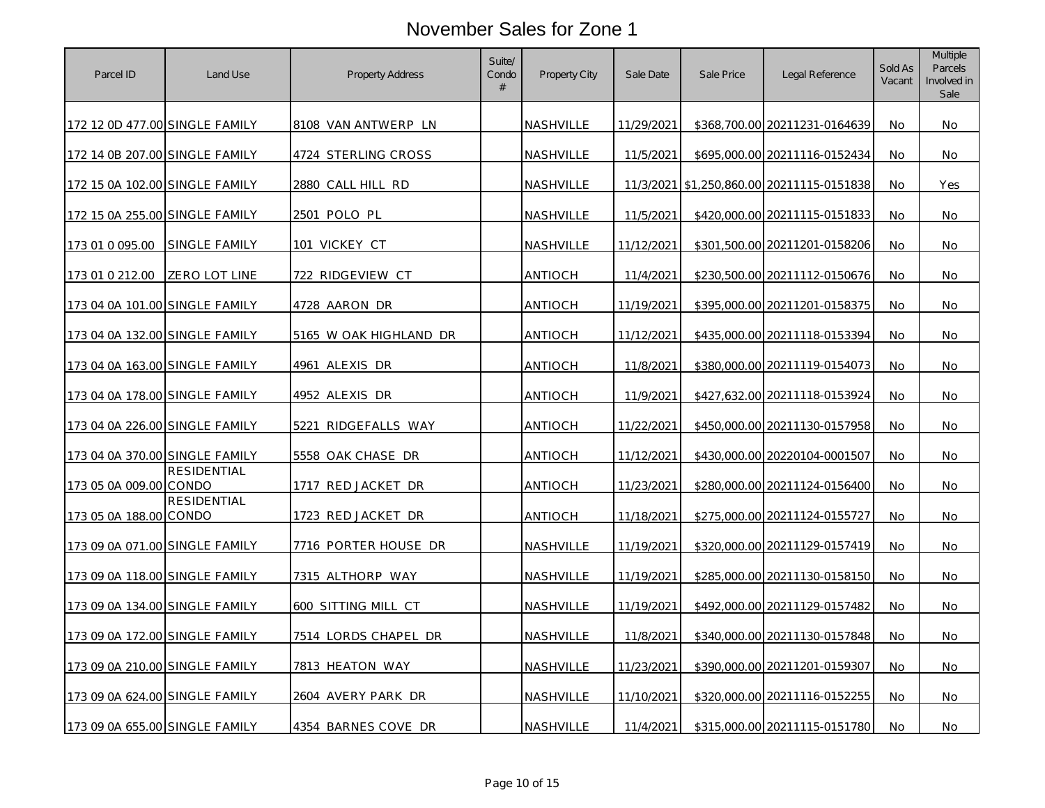| Parcel ID                      | Land Use           | Property Address       | Suite/<br>Condo<br># | <b>Property City</b> | Sale Date  | Sale Price | Legal Reference                           | Sold As<br>Vacant | Multiple<br>Parcels<br>Involved in<br>Sale |
|--------------------------------|--------------------|------------------------|----------------------|----------------------|------------|------------|-------------------------------------------|-------------------|--------------------------------------------|
| 172 12 0D 477.00 SINGLE FAMILY |                    | 8108 VAN ANTWERP LN    |                      | <b>NASHVILLE</b>     | 11/29/2021 |            | \$368,700.00 20211231-0164639             | No                | No                                         |
| 172 14 0B 207.00 SINGLE FAMILY |                    | 4724 STERLING CROSS    |                      | <b>NASHVILLE</b>     | 11/5/2021  |            | \$695,000.00 20211116-0152434             | No                | No                                         |
| 172 15 0A 102.00 SINGLE FAMILY |                    | 2880 CALL HILL RD      |                      | NASHVILLE            |            |            | 11/3/2021 \$1,250,860.00 20211115-0151838 | <b>No</b>         | Yes                                        |
| 172 15 0A 255.00 SINGLE FAMILY |                    | 2501 POLO PL           |                      | <b>NASHVILLE</b>     | 11/5/2021  |            | \$420,000.00 20211115-0151833             | No                | No                                         |
| 173 01 0 095.00                | SINGLE FAMILY      | 101 VICKEY CT          |                      | NASHVILLE            | 11/12/2021 |            | \$301,500.00 20211201-0158206             | No                | No                                         |
| 173 01 0 212.00                | ZERO LOT LINE      | 722 RIDGEVIEW CT       |                      | ANTIOCH              | 11/4/2021  |            | \$230,500.00 20211112-0150676             | No                | No                                         |
| 173 04 0A 101.00 SINGLE FAMILY |                    | 4728 AARON DR          |                      | <b>ANTIOCH</b>       | 11/19/2021 |            | \$395,000.00 20211201-0158375             | No                | No                                         |
| 173 04 0A 132.00 SINGLE FAMILY |                    | 5165 W OAK HIGHLAND DR |                      | ANTIOCH              | 11/12/2021 |            | \$435,000.00 20211118-0153394             | <b>No</b>         | No.                                        |
| 173 04 0A 163.00 SINGLE FAMILY |                    | 4961 ALEXIS DR         |                      | ANTIOCH              | 11/8/2021  |            | \$380,000.00 20211119-0154073             | No.               | No.                                        |
| 173 04 0A 178.00 SINGLE FAMILY |                    | 4952 ALEXIS DR         |                      | <b>ANTIOCH</b>       | 11/9/2021  |            | \$427,632.00 20211118-0153924             | No                | No                                         |
| 173 04 0A 226.00 SINGLE FAMILY |                    | 5221 RIDGEFALLS WAY    |                      | <b>ANTIOCH</b>       | 11/22/2021 |            | \$450,000.00 20211130-0157958             | No.               | No.                                        |
| 173 04 0A 370.00 SINGLE FAMILY |                    | 5558 OAK CHASE DR      |                      | ANTIOCH              | 11/12/2021 |            | \$430,000.00 20220104-0001507             | <b>No</b>         | No                                         |
| 173 05 0A 009.00 CONDO         | <b>RESIDENTIAL</b> | 1717 RED JACKET DR     |                      | ANTIOCH              | 11/23/2021 |            | \$280,000.00 20211124-0156400             | No                | No                                         |
| 173 05 0A 188.00 CONDO         | <b>RESIDENTIAL</b> | 1723 RED JACKET DR     |                      | ANTIOCH              | 11/18/2021 |            | \$275,000.00 20211124-0155727             | No                | No                                         |
| 173 09 0A 071.00 SINGLE FAMILY |                    | 7716 PORTER HOUSE DR   |                      | NASHVILLE            | 11/19/2021 |            | \$320,000.00 20211129-0157419             | No                | No                                         |
| 173 09 0A 118.00 SINGLE FAMILY |                    | 7315 ALTHORP WAY       |                      | NASHVILLE            | 11/19/2021 |            | \$285,000.00 20211130-0158150             | No                | No                                         |
| 173 09 0A 134.00 SINGLE FAMILY |                    | 600 SITTING MILL CT    |                      | NASHVILLE            | 11/19/2021 |            | \$492,000.00 20211129-0157482             | No                | No                                         |
| 173 09 0A 172.00 SINGLE FAMILY |                    | 7514 LORDS CHAPEL DR   |                      | NASHVILLE            | 11/8/2021  |            | \$340,000.00 20211130-0157848             | No                | No                                         |
| 173 09 0A 210.00 SINGLE FAMILY |                    | 7813 HEATON WAY        |                      | NASHVILLE            | 11/23/2021 |            | \$390,000.00 20211201-0159307             | No                | <b>No</b>                                  |
| 173 09 0A 624.00 SINGLE FAMILY |                    | 2604 AVERY PARK DR     |                      | NASHVILLE            | 11/10/2021 |            | \$320,000.00 20211116-0152255             | No                | No                                         |
| 173 09 0A 655.00 SINGLE FAMILY |                    | 4354 BARNES COVE DR    |                      | NASHVILLE            | 11/4/2021  |            | \$315,000.00 20211115-0151780             | No                | No                                         |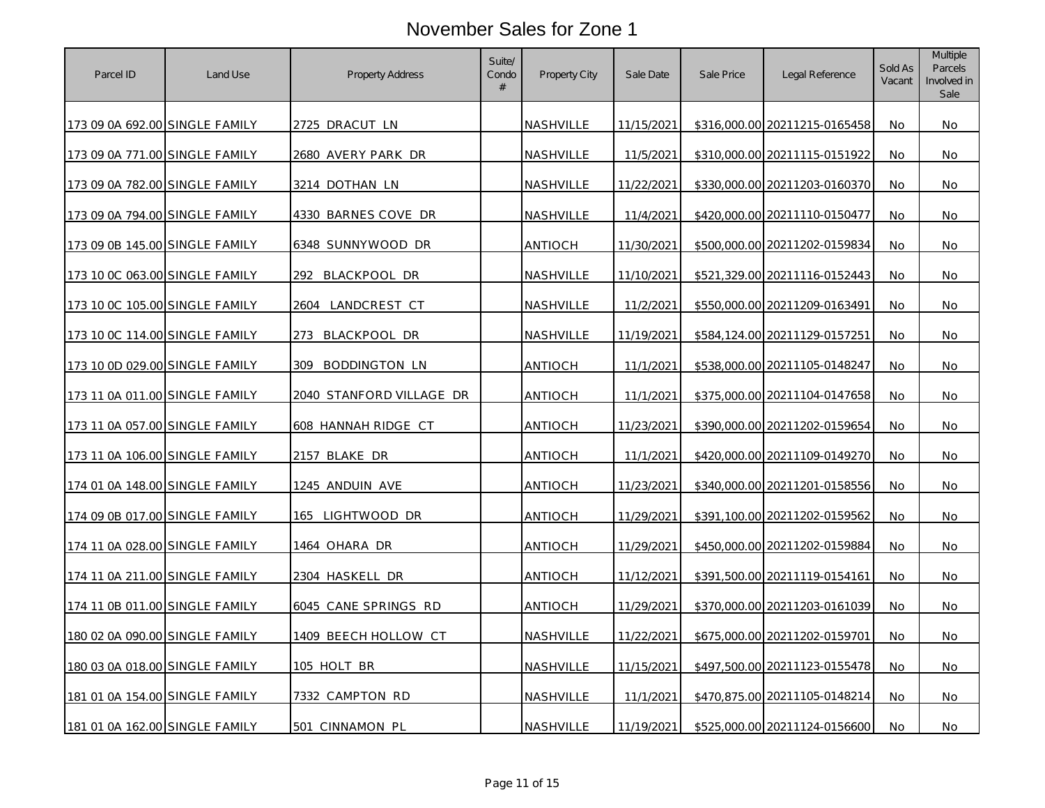| Parcel ID                      | Land Use | <b>Property Address</b>  | Suite/<br>Condo<br># | Property City    | Sale Date  | Sale Price | Legal Reference               | Sold As<br>Vacant | Multiple<br><b>Parcels</b><br>Involved in<br>Sale |
|--------------------------------|----------|--------------------------|----------------------|------------------|------------|------------|-------------------------------|-------------------|---------------------------------------------------|
| 173 09 0A 692.00 SINGLE FAMILY |          | 2725 DRACUT LN           |                      | <b>NASHVILLE</b> | 11/15/2021 |            | \$316,000.00 20211215-0165458 | No.               | No                                                |
| 173 09 0A 771.00 SINGLE FAMILY |          | 2680 AVERY PARK DR       |                      | <b>NASHVILLE</b> | 11/5/2021  |            | \$310,000.00 20211115-0151922 | No                | No                                                |
| 173 09 0A 782.00 SINGLE FAMILY |          | 3214 DOTHAN LN           |                      | NASHVILLE        | 11/22/2021 |            | \$330,000.00 20211203-0160370 | No                | No                                                |
| 173 09 0A 794.00 SINGLE FAMILY |          | 4330 BARNES COVE DR      |                      | <b>NASHVILLE</b> | 11/4/2021  |            | \$420,000.00 20211110-0150477 | No                | No                                                |
| 173 09 0B 145.00 SINGLE FAMILY |          | 6348 SUNNYWOOD DR        |                      | <b>ANTIOCH</b>   | 11/30/2021 |            | \$500,000.00 20211202-0159834 | <b>No</b>         | No                                                |
| 173 10 0C 063.00 SINGLE FAMILY |          | 292.<br>BLACKPOOL DR     |                      | <b>NASHVILLE</b> | 11/10/2021 |            | \$521,329.00 20211116-0152443 | No                | No                                                |
| 173 10 OC 105.00 SINGLE FAMILY |          | 2604 LANDCREST CT        |                      | NASHVILLE        | 11/2/2021  |            | \$550,000.00 20211209-0163491 | <b>No</b>         | No                                                |
| 173 10 0C 114.00 SINGLE FAMILY |          | BLACKPOOL DR<br>273.     |                      | NASHVILLE        | 11/19/2021 |            | \$584,124.00 20211129-0157251 | No                | No                                                |
| 173 10 0D 029.00 SINGLE FAMILY |          | 309 BODDINGTON LN        |                      | <b>ANTIOCH</b>   | 11/1/2021  |            | \$538,000.00 20211105-0148247 | No                | No                                                |
| 173 11 0A 011.00 SINGLE FAMILY |          | 2040 STANFORD VILLAGE DR |                      | <b>ANTIOCH</b>   | 11/1/2021  |            | \$375,000.00 20211104-0147658 | <b>No</b>         | No                                                |
| 173 11 0A 057.00 SINGLE FAMILY |          | 608 HANNAH RIDGE CT      |                      | <b>ANTIOCH</b>   | 11/23/2021 |            | \$390,000.00 20211202-0159654 | No.               | No                                                |
| 173 11 0A 106.00 SINGLE FAMILY |          | 2157 BLAKE DR            |                      | <b>ANTIOCH</b>   | 11/1/2021  |            | \$420,000.00 20211109-0149270 | <b>No</b>         | No                                                |
| 174 01 0A 148.00 SINGLE FAMILY |          | 1245 ANDUIN AVE          |                      | ANTIOCH          | 11/23/2021 |            | \$340,000.00 20211201-0158556 | No                | No                                                |
| 174 09 0B 017.00 SINGLE FAMILY |          | 165 LIGHTWOOD DR         |                      | <b>ANTIOCH</b>   | 11/29/2021 |            | \$391,100.00 20211202-0159562 | No                | No                                                |
| 174 11 0A 028.00 SINGLE FAMILY |          | 1464 ohara dr            |                      | <b>ANTIOCH</b>   | 11/29/2021 |            | \$450,000.00 20211202-0159884 | <b>No</b>         | No                                                |
| 174 11 0A 211.00 SINGLE FAMILY |          | 2304 HASKELL DR          |                      | <b>ANTIOCH</b>   | 11/12/2021 |            | \$391,500.00 20211119-0154161 | No                | No                                                |
| 174 11 0B 011.00 SINGLE FAMILY |          | 6045 CANE SPRINGS RD     |                      | <b>ANTIOCH</b>   | 11/29/2021 |            | \$370,000.00 20211203-0161039 | No                | No                                                |
| 180 02 0A 090.00 SINGLE FAMILY |          | 1409 BEECH HOLLOW CT     |                      | NASHVILLE        | 11/22/2021 |            | \$675,000.00 20211202-0159701 | No                | No                                                |
| 180 03 0A 018.00 SINGLE FAMILY |          | 105 HOLT BR              |                      | NASHVILLE        | 11/15/2021 |            | \$497,500.00 20211123-0155478 | No.               | No.                                               |
| 181 01 0A 154.00 SINGLE FAMILY |          | 7332 CAMPTON RD          |                      | NASHVILLE        | 11/1/2021  |            | \$470,875.00 20211105-0148214 | <b>No</b>         | No                                                |
| 181 01 0A 162.00 SINGLE FAMILY |          | 501 CINNAMON PL          |                      | NASHVILLE        | 11/19/2021 |            | \$525,000.00 20211124-0156600 | No                | No                                                |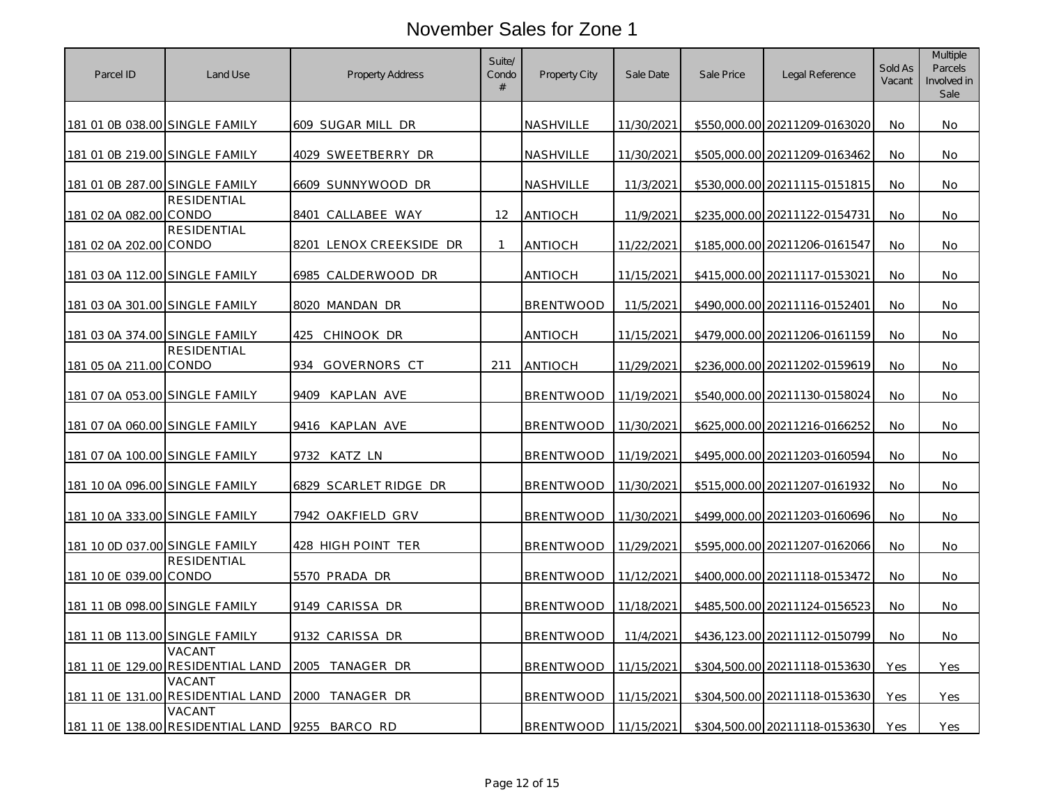| Parcel ID                      | Land Use                                    | <b>Property Address</b> | Suite/<br>Condo<br># | <b>Property City</b> | Sale Date  | Sale Price | Legal Reference               | Sold As<br>Vacant | <b>Multiple</b><br><b>Parcels</b><br>Involved in<br>Sale |
|--------------------------------|---------------------------------------------|-------------------------|----------------------|----------------------|------------|------------|-------------------------------|-------------------|----------------------------------------------------------|
| 181 01 0B 038.00 SINGLE FAMILY |                                             | 609 SUGAR MILL DR       |                      | <b>NASHVILLE</b>     | 11/30/2021 |            | \$550,000.00 20211209-0163020 | No.               | No.                                                      |
| 181 01 0B 219.00 SINGLE FAMILY |                                             | 4029 SWEETBERRY DR      |                      | NASHVILLE            | 11/30/2021 |            | \$505,000.00 20211209-0163462 | No                | No                                                       |
| 181 01 0B 287.00 SINGLE FAMILY |                                             | 6609 SUNNYWOOD DR       |                      | NASHVILLE            | 11/3/2021  |            | \$530,000.00 20211115-0151815 | No                | No                                                       |
| 181 02 0A 082.00 CONDO         | <b>RESIDENTIAL</b>                          | 8401 CALLABEE WAY       | 12                   | ANTIOCH              | 11/9/2021  |            | \$235,000.00 20211122-0154731 | <b>No</b>         | <b>No</b>                                                |
| 181 02 0A 202.00 CONDO         | <b>RESIDENTIAL</b>                          | 8201 LENOX CREEKSIDE DR |                      | <b>ANTIOCH</b>       | 11/22/2021 |            | \$185,000.00 20211206-0161547 | No.               | No.                                                      |
| 181 03 0A 112.00 SINGLE FAMILY |                                             | 6985 CALDERWOOD DR      |                      | ANTIOCH              | 11/15/2021 |            | \$415,000.00 20211117-0153021 | No.               | No.                                                      |
| 181 03 0A 301.00 SINGLE FAMILY |                                             | 8020 MANDAN DR          |                      | <b>BRENTWOOD</b>     | 11/5/2021  |            | \$490,000.00 20211116-0152401 | <b>No</b>         | No.                                                      |
| 181 03 0A 374.00 SINGLE FAMILY |                                             | CHINOOK DR<br>425       |                      | ANTIOCH              | 11/15/2021 |            | \$479,000.00 20211206-0161159 | No                | No                                                       |
| 181 05 0A 211.00 CONDO         | <b>RESIDENTIAL</b>                          | 934 GOVERNORS CT        | 211                  | <b>ANTIOCH</b>       | 11/29/2021 |            | \$236,000.00 20211202-0159619 | No                | No.                                                      |
| 181 07 0A 053.00 SINGLE FAMILY |                                             | 9409<br>KAPLAN AVE      |                      | <b>BRENTWOOD</b>     | 11/19/2021 |            | \$540,000.00 20211130-0158024 | No                | No                                                       |
| 181 07 0A 060.00 SINGLE FAMILY |                                             | 9416 KAPLAN AVE         |                      | <b>BRENTWOOD</b>     | 11/30/2021 |            | \$625,000.00 20211216-0166252 | No.               | <b>No</b>                                                |
| 181 07 0A 100.00 SINGLE FAMILY |                                             | 9732 KATZ LN            |                      | <b>BRENTWOOD</b>     | 11/19/2021 |            | \$495,000.00 20211203-0160594 | <b>No</b>         | No                                                       |
| 181 10 0A 096.00 SINGLE FAMILY |                                             | 6829 SCARLET RIDGE DR   |                      | <b>BRENTWOOD</b>     | 11/30/2021 |            | \$515,000.00 20211207-0161932 | No                | No                                                       |
| 181 10 0A 333.00 SINGLE FAMILY |                                             | 7942 OAKFIELD GRV       |                      | <b>BRENTWOOD</b>     | 11/30/2021 |            | \$499,000.00 20211203-0160696 | No                | <b>No</b>                                                |
| 181 10 0D 037.00 SINGLE FAMILY |                                             | 428 HIGH POINT TER      |                      | <b>BRENTWOOD</b>     | 11/29/2021 |            | \$595,000.00 20211207-0162066 | No                | No                                                       |
| 181 10 0E 039.00 CONDO         | <b>RESIDENTIAL</b>                          | 5570 PRADA DR           |                      | <b>BRENTWOOD</b>     | 11/12/2021 |            | \$400,000.00 20211118-0153472 | No                | No                                                       |
| 181 11 0B 098.00 SINGLE FAMILY |                                             | 9149 CARISSA DR         |                      | <b>BRENTWOOD</b>     | 11/18/2021 |            | \$485,500.00 20211124-0156523 | No                | No                                                       |
| 181 11 0B 113.00 SINGLE FAMILY |                                             | 9132 CARISSA DR         |                      | <b>BRENTWOOD</b>     | 11/4/2021  |            | \$436,123.00 20211112-0150799 | No                | No                                                       |
|                                | VACANT<br>181 11 0E 129.00 RESIDENTIAL LAND | 2005 TANAGER DR         |                      | <b>BRENTWOOD</b>     | 11/15/2021 |            | \$304,500.00 20211118-0153630 | Yes               | Yes                                                      |
|                                | VACANT<br>181 11 OE 131.00 RESIDENTIAL LAND | TANAGER DR<br>2000      |                      | <b>BRENTWOOD</b>     | 11/15/2021 |            | \$304,500.00 20211118-0153630 | Yes               | Yes                                                      |
|                                | VACANT<br>181 11 OE 138.00 RESIDENTIAL LAND | 9255 BARCO RD           |                      | <b>BRENTWOOD</b>     | 11/15/2021 |            | \$304,500.00 20211118-0153630 | Yes               | Yes                                                      |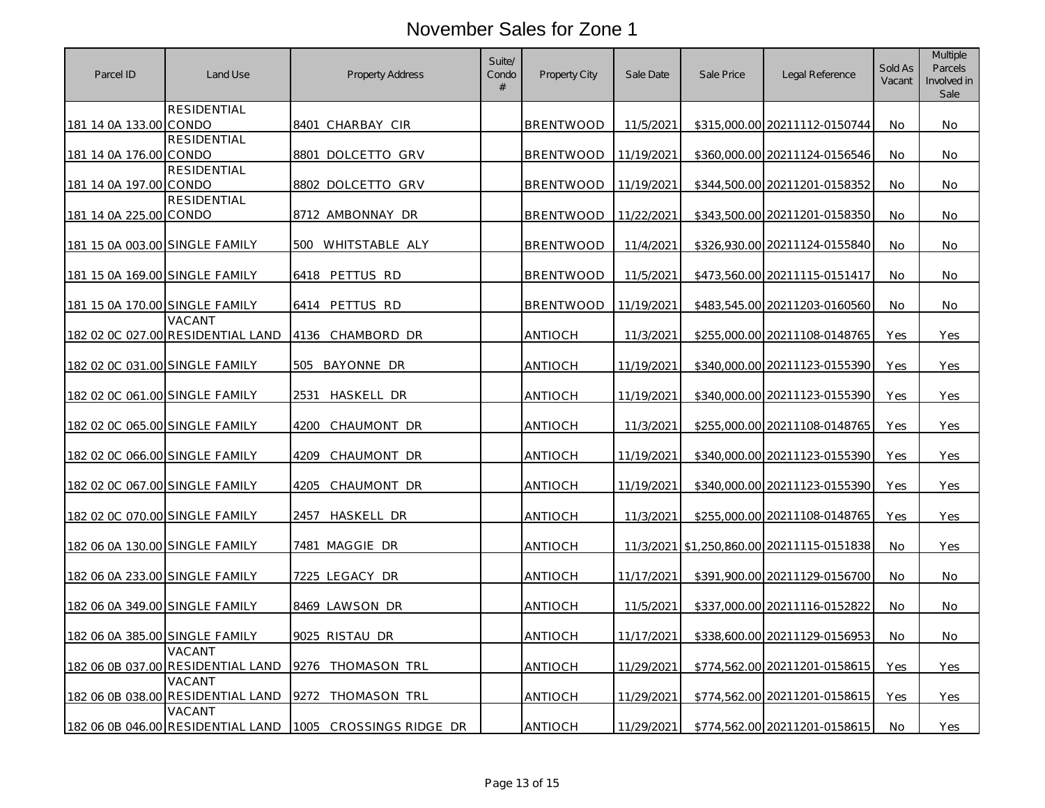| Parcel ID                      | Land Use                                    | <b>Property Address</b> | Suite/<br>Condo<br># | <b>Property City</b> | Sale Date  | Sale Price | Legal Reference                 | Sold As<br>Vacant | <b>Multiple</b><br><b>Parcels</b><br>Involved in<br>Sale |
|--------------------------------|---------------------------------------------|-------------------------|----------------------|----------------------|------------|------------|---------------------------------|-------------------|----------------------------------------------------------|
| 181 14 0A 133.00 CONDO         | <b>RESIDENTIAL</b>                          | 8401 CHARBAY CIR        |                      | <b>BRENTWOOD</b>     | 11/5/2021  |            | \$315,000.00 20211112-0150744   | No.               | No.                                                      |
| 181 14 0A 176.00 CONDO         | <b>RESIDENTIAL</b>                          | 8801 DOLCETTO GRV       |                      | <b>BRENTWOOD</b>     | 11/19/2021 |            | \$360,000.00 20211124-0156546   | No                | No                                                       |
| 181 14 0A 197.00 CONDO         | <b>RESIDENTIAL</b>                          | 8802 DOLCETTO GRV       |                      | <b>BRENTWOOD</b>     | 11/19/2021 |            | \$344,500.00 20211201-0158352   | No.               | No.                                                      |
| 181 14 0A 225.00 CONDO         | <b>RESIDENTIAL</b>                          | 8712 AMBONNAY DR        |                      | <b>BRENTWOOD</b>     | 11/22/2021 |            | \$343,500.00 20211201-0158350   | <b>No</b>         | <b>No</b>                                                |
| 181 15 0A 003.00 SINGLE FAMILY |                                             | 500 WHITSTABLE ALY      |                      | <b>BRENTWOOD</b>     | 11/4/2021  |            | \$326,930.00 20211124-0155840   | No.               | No.                                                      |
| 181 15 0A 169.00 SINGLE FAMILY |                                             | 6418 PETTUS RD          |                      | <b>BRENTWOOD</b>     | 11/5/2021  |            | \$473,560.00 20211115-0151417   | No                | No.                                                      |
| 181 15 0A 170.00 SINGLE FAMILY |                                             | 6414 PETTUS RD          |                      | <b>BRENTWOOD</b>     | 11/19/2021 |            | \$483,545.00 20211203-0160560   | No.               | No                                                       |
|                                | VACANT<br>182 02 0C 027.00 RESIDENTIAL LAND | 4136 CHAMBORD DR        |                      | <b>ANTIOCH</b>       | 11/3/2021  |            | \$255,000.00 20211108-0148765   | Yes               | Yes                                                      |
| 182 02 0C 031.00 SINGLE FAMILY |                                             | 505 BAYONNE DR          |                      | <b>ANTIOCH</b>       | 11/19/2021 |            | \$340,000.00 20211123-0155390   | Yes               | Yes                                                      |
| 182 02 0C 061.00 SINGLE FAMILY |                                             | 2531<br>HASKELL DR      |                      | <b>ANTIOCH</b>       | 11/19/2021 |            | \$340,000.00 20211123-0155390   | Yes               | Yes                                                      |
| 182 02 0C 065.00 SINGLE FAMILY |                                             | 4200<br>CHAUMONT DR     |                      | <b>ANTIOCH</b>       | 11/3/2021  |            | \$255,000.00 20211108-0148765   | Yes               | Yes                                                      |
| 182 02 0C 066.00 SINGLE FAMILY |                                             | 4209<br>CHAUMONT DR     |                      | <b>ANTIOCH</b>       | 11/19/2021 |            | \$340,000.00 20211123-0155390   | Yes               | Yes                                                      |
| 182 02 0C 067.00 SINGLE FAMILY |                                             | 4205<br>CHAUMONT DR     |                      | <b>ANTIOCH</b>       | 11/19/2021 |            | \$340,000,00 20211123-0155390   | Yes               | Yes                                                      |
| 182 02 0C 070.00 SINGLE FAMILY |                                             | HASKELL DR<br>2457      |                      | <b>ANTIOCH</b>       | 11/3/2021  |            | \$255,000.00 20211108-0148765   | Yes               | Yes                                                      |
| 182 06 0A 130.00 SINGLE FAMILY |                                             | 7481 MAGGIE DR          |                      | ANTIOCH              | 11/3/2021  |            | \$1,250,860.00 20211115-0151838 | <b>No</b>         | Yes                                                      |
| 182 06 0A 233.00 SINGLE FAMILY |                                             | 7225 LEGACY DR          |                      | <b>ANTIOCH</b>       | 11/17/2021 |            | \$391,900.00 20211129-0156700   | No.               | No.                                                      |
| 182 06 0A 349.00 SINGLE FAMILY |                                             | 8469 LAWSON DR          |                      | <b>ANTIOCH</b>       | 11/5/2021  |            | \$337.000.00 20211116-0152822   | No.               | <b>No</b>                                                |
| 182 06 0A 385.00 SINGLE FAMILY |                                             | 9025 RISTAU DR          |                      | <b>ANTIOCH</b>       | 11/17/2021 |            | \$338,600.00 20211129-0156953   | No.               | No.                                                      |
|                                | VACANT<br>182 06 0B 037.00 RESIDENTIAL LAND | 9276 THOMASON TRL       |                      | ANTIOCH              | 11/29/2021 |            | \$774,562.00 20211201-0158615   | Yes               | Yes                                                      |
|                                | VACANT<br>182 06 0B 038.00 RESIDENTIAL LAND | 9272<br>THOMASON TRL    |                      | ANTIOCH              | 11/29/2021 |            | \$774,562.00 20211201-0158615   | Yes               | Yes                                                      |
|                                | VACANT<br>182 06 0B 046.00 RESIDENTIAL LAND | 1005 CROSSINGS RIDGE DR |                      | <b>ANTIOCH</b>       | 11/29/2021 |            | \$774,562.00 20211201-0158615   | No                | Yes                                                      |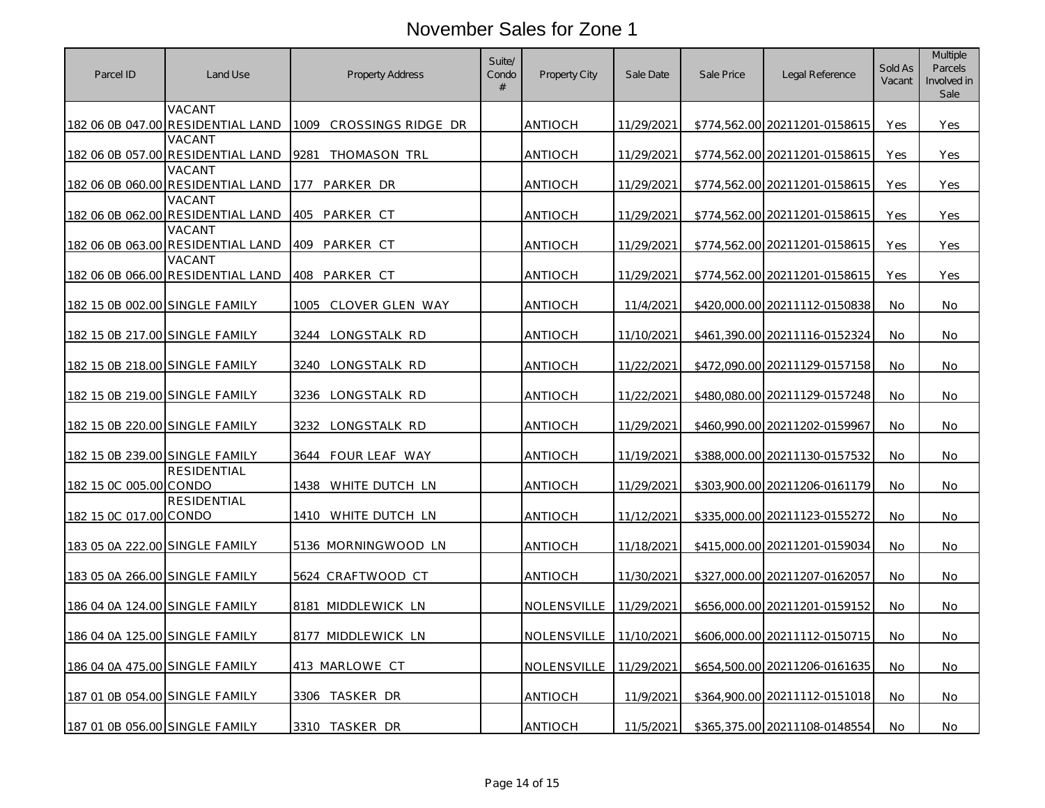| Parcel ID                      | Land Use                                    | <b>Property Address</b>    | Suite/<br>Condo<br># | <b>Property City</b>   | Sale Date  | Sale Price | Legal Reference               | Sold As<br>Vacant | <b>Multiple</b><br>Parcels<br>Involved in<br>Sale |
|--------------------------------|---------------------------------------------|----------------------------|----------------------|------------------------|------------|------------|-------------------------------|-------------------|---------------------------------------------------|
|                                | VACANT<br>182 06 0B 047.00 RESIDENTIAL LAND | CROSSINGS RIDGE DR<br>1009 |                      | <b>ANTIOCH</b>         | 11/29/2021 |            | \$774,562.00 20211201-0158615 | Yes               | Yes                                               |
|                                | VACANT<br>182 06 0B 057.00 RESIDENTIAL LAND | 9281 THOMASON TRL          |                      | <b>ANTIOCH</b>         | 11/29/2021 |            | \$774,562.00 20211201-0158615 | Yes               | Yes                                               |
|                                | VACANT<br>182 06 0B 060.00 RESIDENTIAL LAND | PARKER DR<br>177           |                      | ANTIOCH                | 11/29/2021 |            | \$774,562.00 20211201-0158615 | Yes               | Yes                                               |
|                                | VACANT<br>182 06 0B 062.00 RESIDENTIAL LAND | 405<br>PARKER CT           |                      | ANTIOCH                | 11/29/2021 |            | \$774,562.00 20211201-0158615 | Yes               | Yes                                               |
|                                | VACANT<br>182 06 0B 063.00 RESIDENTIAL LAND | 409 PARKER CT              |                      | <b>ANTIOCH</b>         | 11/29/2021 |            | \$774,562.00 20211201-0158615 | Yes               | Yes                                               |
|                                | VACANT<br>182 06 0B 066.00 RESIDENTIAL LAND | PARKER CT<br>408           |                      | ANTIOCH                | 11/29/2021 |            | \$774,562.00 20211201-0158615 | Yes               | Yes                                               |
| 182 15 0B 002.00 SINGLE FAMILY |                                             | CLOVER GLEN WAY<br>1005    |                      | <b>ANTIOCH</b>         | 11/4/2021  |            | \$420,000.00 20211112-0150838 | No.               | No.                                               |
| 182 15 0B 217.00 SINGLE FAMILY |                                             | 3244 LONGSTALK RD          |                      | ANTIOCH                | 11/10/2021 |            | \$461,390.00 20211116-0152324 | No                | No                                                |
| 182 15 0B 218.00 SINGLE FAMILY |                                             | 3240 LONGSTALK RD          |                      | ANTIOCH                | 11/22/2021 |            | \$472,090.00 20211129-0157158 | No                | No.                                               |
| 182 15 0B 219.00 SINGLE FAMILY |                                             | 3236 LONGSTALK RD          |                      | <b>ANTIOCH</b>         | 11/22/2021 |            | \$480,080.00 20211129-0157248 | No                | No.                                               |
| 182 15 0B 220.00 SINGLE FAMILY |                                             | 3232<br>LONGSTALK RD       |                      | ANTIOCH                | 11/29/2021 |            | \$460,990.00 20211202-0159967 | No.               | No.                                               |
| 182 15 0B 239.00 SINGLE FAMILY |                                             | FOUR LEAF WAY<br>3644      |                      | <b>ANTIOCH</b>         | 11/19/2021 |            | \$388,000.00 20211130-0157532 | <b>No</b>         | No                                                |
| 182 15 0C 005.00 CONDO         | <b>RESIDENTIAL</b>                          | 1438 WHITE DUTCH LN        |                      | <b>ANTIOCH</b>         | 11/29/2021 |            | \$303,900.00 20211206-0161179 | No                | No                                                |
| 182 15 0C 017.00 CONDO         | <b>RESIDENTIAL</b>                          | 1410 WHITE DUTCH LN        |                      | ANTIOCH                | 11/12/2021 |            | \$335,000.00 20211123-0155272 | No                | No.                                               |
| 183 05 0A 222.00 SINGLE FAMILY |                                             | 5136 MORNINGWOOD LN        |                      | <b>ANTIOCH</b>         | 11/18/2021 |            | \$415,000.00 20211201-0159034 | No                | No.                                               |
| 183 05 0A 266.00 SINGLE FAMILY |                                             | 5624 CRAFTWOOD CT          |                      | ANTIOCH                | 11/30/2021 |            | \$327,000.00 20211207-0162057 | No                | No                                                |
| 186 04 0A 124.00 SINGLE FAMILY |                                             | 8181 MIDDLEWICK LN         |                      | NOLENSVILLE            | 11/29/2021 |            | \$656,000.00 20211201-0159152 | No                | No                                                |
| 186 04 0A 125.00 SINGLE FAMILY |                                             | 8177 MIDDLEWICK LN         |                      | NOLENSVILLE 11/10/2021 |            |            | \$606,000.00 20211112-0150715 | No                | No                                                |
| 186 04 0A 475.00 SINGLE FAMILY |                                             | 413 MARLOWE CT             |                      | NOLENSVILLE 11/29/2021 |            |            | \$654,500.00 20211206-0161635 | No.               | No.                                               |
| 187 01 0B 054.00 SINGLE FAMILY |                                             | 3306 TASKER DR             |                      | <b>ANTIOCH</b>         | 11/9/2021  |            | \$364,900.00 20211112-0151018 | No                | No                                                |
| 187 01 0B 056.00 SINGLE FAMILY |                                             | 3310 TASKER DR             |                      | ANTIOCH                | 11/5/2021  |            | \$365,375.00 20211108-0148554 | No                | No                                                |